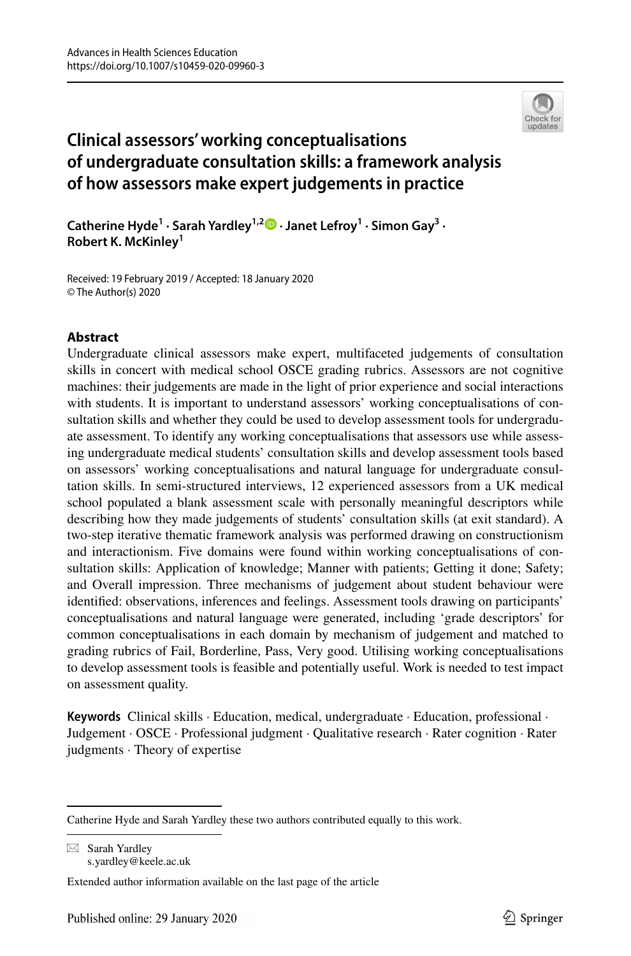

# **Clinical assessors' working conceptualisations of undergraduate consultation skills: a framework analysis of how assessors make expert judgements in practice**

**Catherine Hyde1 · Sarah Yardley1,2  [·](http://orcid.org/0000-0002-1645-642X) Janet Lefroy1 · Simon Gay3 · Robert K. McKinley<sup>1</sup>**

Received: 19 February 2019 / Accepted: 18 January 2020 © The Author(s) 2020

## **Abstract**

Undergraduate clinical assessors make expert, multifaceted judgements of consultation skills in concert with medical school OSCE grading rubrics. Assessors are not cognitive machines: their judgements are made in the light of prior experience and social interactions with students. It is important to understand assessors' working conceptualisations of consultation skills and whether they could be used to develop assessment tools for undergraduate assessment. To identify any working conceptualisations that assessors use while assessing undergraduate medical students' consultation skills and develop assessment tools based on assessors' working conceptualisations and natural language for undergraduate consultation skills. In semi-structured interviews, 12 experienced assessors from a UK medical school populated a blank assessment scale with personally meaningful descriptors while describing how they made judgements of students' consultation skills (at exit standard). A two-step iterative thematic framework analysis was performed drawing on constructionism and interactionism. Five domains were found within working conceptualisations of consultation skills: Application of knowledge; Manner with patients; Getting it done; Safety; and Overall impression. Three mechanisms of judgement about student behaviour were identifed: observations, inferences and feelings. Assessment tools drawing on participants' conceptualisations and natural language were generated, including 'grade descriptors' for common conceptualisations in each domain by mechanism of judgement and matched to grading rubrics of Fail, Borderline, Pass, Very good. Utilising working conceptualisations to develop assessment tools is feasible and potentially useful. Work is needed to test impact on assessment quality.

**Keywords** Clinical skills · Education, medical, undergraduate · Education, professional · Judgement · OSCE · Professional judgment · Qualitative research · Rater cognition · Rater judgments · Theory of expertise

 $\boxtimes$  Sarah Yardley s.yardley@keele.ac.uk

Catherine Hyde and Sarah Yardley these two authors contributed equally to this work.

Extended author information available on the last page of the article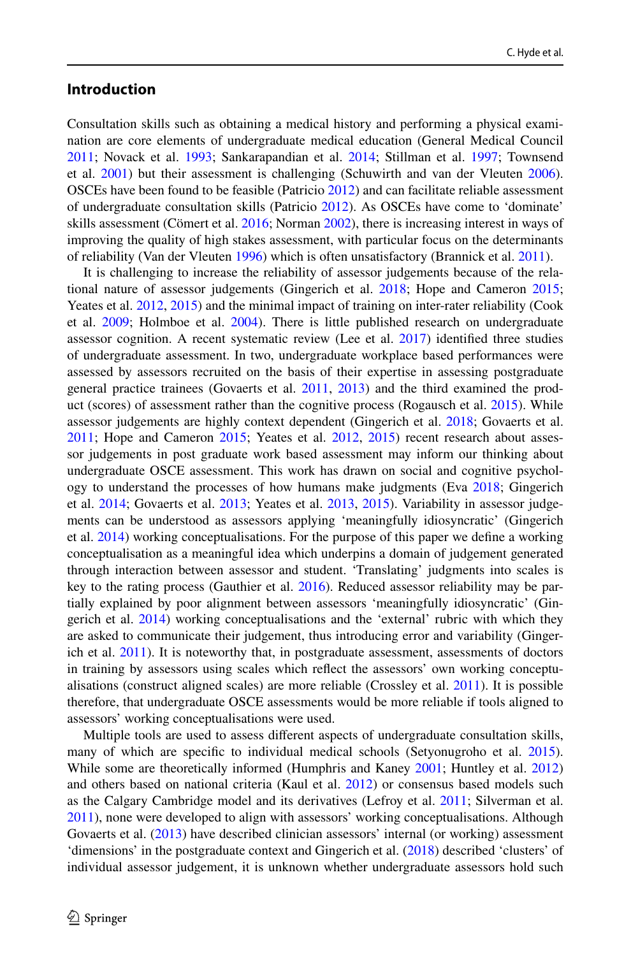### **Introduction**

Consultation skills such as obtaining a medical history and performing a physical examination are core elements of undergraduate medical education (General Medical Council [2011;](#page-28-0) Novack et al. [1993;](#page-28-1) Sankarapandian et al. [2014;](#page-29-0) Stillman et al. [1997](#page-29-1); Townsend et al. [2001](#page-29-2)) but their assessment is challenging (Schuwirth and van der Vleuten [2006](#page-29-3)). OSCEs have been found to be feasible (Patricio [2012](#page-29-4)) and can facilitate reliable assessment of undergraduate consultation skills (Patricio [2012\)](#page-29-4). As OSCEs have come to 'dominate' skills assessment (Cömert et al. [2016](#page-27-0); Norman [2002\)](#page-28-2), there is increasing interest in ways of improving the quality of high stakes assessment, with particular focus on the determinants of reliability (Van der Vleuten [1996\)](#page-29-5) which is often unsatisfactory (Brannick et al. [2011](#page-27-1)).

It is challenging to increase the reliability of assessor judgements because of the relational nature of assessor judgements (Gingerich et al. [2018](#page-28-3); Hope and Cameron [2015;](#page-28-4) Yeates et al. [2012](#page-29-6), [2015\)](#page-29-7) and the minimal impact of training on inter-rater reliability (Cook et al. [2009](#page-27-2); Holmboe et al. [2004\)](#page-28-5). There is little published research on undergraduate assessor cognition. A recent systematic review (Lee et al. [2017](#page-28-6)) identifed three studies of undergraduate assessment. In two, undergraduate workplace based performances were assessed by assessors recruited on the basis of their expertise in assessing postgraduate general practice trainees (Govaerts et al. [2011](#page-28-7), [2013](#page-28-8)) and the third examined the product (scores) of assessment rather than the cognitive process (Rogausch et al. [2015](#page-29-8)). While assessor judgements are highly context dependent (Gingerich et al. [2018;](#page-28-3) Govaerts et al. [2011;](#page-28-7) Hope and Cameron [2015;](#page-28-4) Yeates et al. [2012](#page-29-6), [2015\)](#page-29-7) recent research about assessor judgements in post graduate work based assessment may inform our thinking about undergraduate OSCE assessment. This work has drawn on social and cognitive psychology to understand the processes of how humans make judgments (Eva [2018](#page-27-3); Gingerich et al. [2014;](#page-28-9) Govaerts et al. [2013;](#page-28-8) Yeates et al. [2013](#page-29-9), [2015\)](#page-29-7). Variability in assessor judgements can be understood as assessors applying 'meaningfully idiosyncratic' (Gingerich et al. [2014\)](#page-28-9) working conceptualisations. For the purpose of this paper we defne a working conceptualisation as a meaningful idea which underpins a domain of judgement generated through interaction between assessor and student. 'Translating' judgments into scales is key to the rating process (Gauthier et al. [2016\)](#page-28-10). Reduced assessor reliability may be partially explained by poor alignment between assessors 'meaningfully idiosyncratic' (Gingerich et al. [2014\)](#page-28-9) working conceptualisations and the 'external' rubric with which they are asked to communicate their judgement, thus introducing error and variability (Gingerich et al. [2011](#page-28-11)). It is noteworthy that, in postgraduate assessment, assessments of doctors in training by assessors using scales which refect the assessors' own working conceptualisations (construct aligned scales) are more reliable (Crossley et al. [2011\)](#page-27-4). It is possible therefore, that undergraduate OSCE assessments would be more reliable if tools aligned to assessors' working conceptualisations were used.

Multiple tools are used to assess diferent aspects of undergraduate consultation skills, many of which are specific to individual medical schools (Setyonugroho et al. [2015](#page-29-10)). While some are theoretically informed (Humphris and Kaney [2001](#page-28-12); Huntley et al. [2012](#page-28-13)) and others based on national criteria (Kaul et al. [2012\)](#page-28-14) or consensus based models such as the Calgary Cambridge model and its derivatives (Lefroy et al. [2011;](#page-28-15) Silverman et al. [2011\)](#page-29-11), none were developed to align with assessors' working conceptualisations. Although Govaerts et al. ([2013\)](#page-28-8) have described clinician assessors' internal (or working) assessment 'dimensions' in the postgraduate context and Gingerich et al. ([2018\)](#page-28-3) described 'clusters' of individual assessor judgement, it is unknown whether undergraduate assessors hold such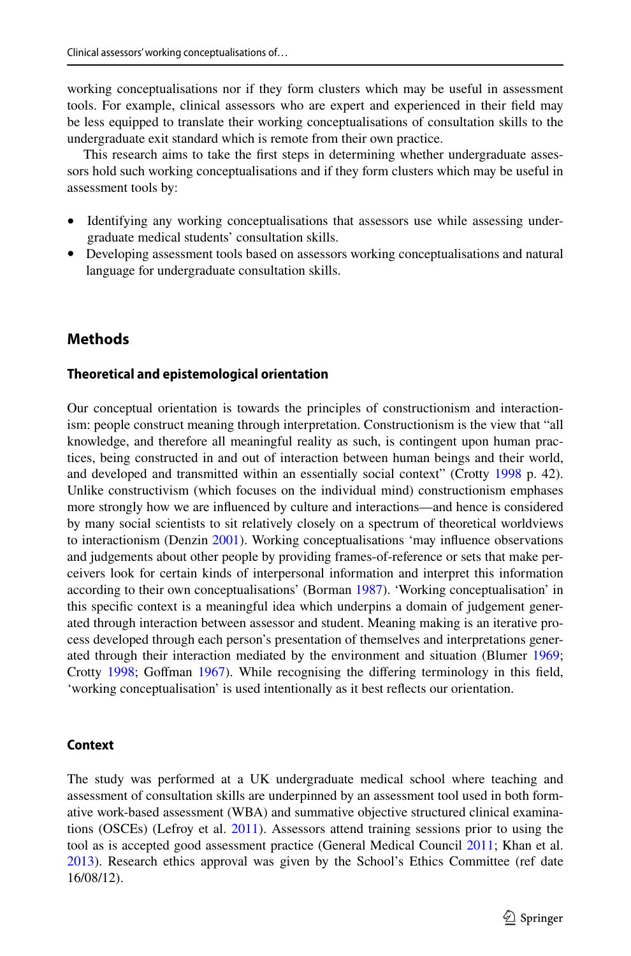working conceptualisations nor if they form clusters which may be useful in assessment tools. For example, clinical assessors who are expert and experienced in their feld may be less equipped to translate their working conceptualisations of consultation skills to the undergraduate exit standard which is remote from their own practice.

This research aims to take the frst steps in determining whether undergraduate assessors hold such working conceptualisations and if they form clusters which may be useful in assessment tools by:

- Identifying any working conceptualisations that assessors use while assessing undergraduate medical students' consultation skills.
- Developing assessment tools based on assessors working conceptualisations and natural language for undergraduate consultation skills.

## <span id="page-2-0"></span>**Methods**

#### <span id="page-2-1"></span>**Theoretical and epistemological orientation**

Our conceptual orientation is towards the principles of constructionism and interactionism: people construct meaning through interpretation. Constructionism is the view that "all knowledge, and therefore all meaningful reality as such, is contingent upon human practices, being constructed in and out of interaction between human beings and their world, and developed and transmitted within an essentially social context" (Crotty [1998](#page-27-5) p. 42). Unlike constructivism (which focuses on the individual mind) constructionism emphases more strongly how we are infuenced by culture and interactions—and hence is considered by many social scientists to sit relatively closely on a spectrum of theoretical worldviews to interactionism (Denzin [2001\)](#page-27-6). Working conceptualisations 'may infuence observations and judgements about other people by providing frames-of-reference or sets that make perceivers look for certain kinds of interpersonal information and interpret this information according to their own conceptualisations' (Borman [1987\)](#page-27-7). 'Working conceptualisation' in this specifc context is a meaningful idea which underpins a domain of judgement generated through interaction between assessor and student. Meaning making is an iterative process developed through each person's presentation of themselves and interpretations generated through their interaction mediated by the environment and situation (Blumer [1969;](#page-27-8) Crotty [1998;](#page-27-5) Gofman [1967\)](#page-28-16). While recognising the difering terminology in this feld, 'working conceptualisation' is used intentionally as it best refects our orientation.

#### **Context**

The study was performed at a UK undergraduate medical school where teaching and assessment of consultation skills are underpinned by an assessment tool used in both formative work-based assessment (WBA) and summative objective structured clinical examinations (OSCEs) (Lefroy et al. [2011](#page-28-15)). Assessors attend training sessions prior to using the tool as is accepted good assessment practice (General Medical Council [2011](#page-28-0); Khan et al. [2013\)](#page-28-17). Research ethics approval was given by the School's Ethics Committee (ref date 16/08/12).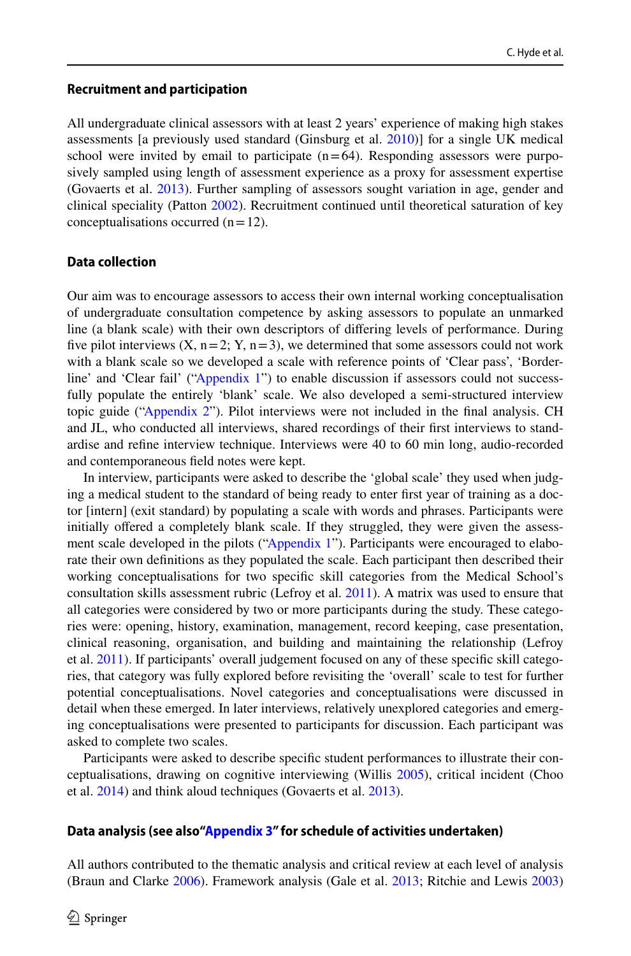#### **Recruitment and participation**

All undergraduate clinical assessors with at least 2 years' experience of making high stakes assessments [a previously used standard (Ginsburg et al. [2010\)](#page-28-18)] for a single UK medical school were invited by email to participate  $(n=64)$ . Responding assessors were purposively sampled using length of assessment experience as a proxy for assessment expertise (Govaerts et al. [2013](#page-28-8)). Further sampling of assessors sought variation in age, gender and clinical speciality (Patton [2002](#page-29-12)). Recruitment continued until theoretical saturation of key conceptualisations occurred  $(n=12)$ .

#### **Data collection**

Our aim was to encourage assessors to access their own internal working conceptualisation of undergraduate consultation competence by asking assessors to populate an unmarked line (a blank scale) with their own descriptors of difering levels of performance. During five pilot interviews  $(X, n=2; Y, n=3)$ , we determined that some assessors could not work with a blank scale so we developed a scale with reference points of 'Clear pass', 'Borderline' and 'Clear fail' (["Appendix 1](#page-2-0)") to enable discussion if assessors could not successfully populate the entirely 'blank' scale. We also developed a semi-structured interview topic guide (["Appendix 2](#page-8-0)"). Pilot interviews were not included in the fnal analysis. CH and JL, who conducted all interviews, shared recordings of their frst interviews to standardise and refne interview technique. Interviews were 40 to 60 min long, audio-recorded and contemporaneous feld notes were kept.

In interview, participants were asked to describe the 'global scale' they used when judging a medical student to the standard of being ready to enter frst year of training as a doctor [intern] (exit standard) by populating a scale with words and phrases. Participants were initially offered a completely blank scale. If they struggled, they were given the assessment scale developed in the pilots (["Appendix 1](#page-2-0)"). Participants were encouraged to elaborate their own defnitions as they populated the scale. Each participant then described their working conceptualisations for two specifc skill categories from the Medical School's consultation skills assessment rubric (Lefroy et al. [2011\)](#page-28-15). A matrix was used to ensure that all categories were considered by two or more participants during the study. These categories were: opening, history, examination, management, record keeping, case presentation, clinical reasoning, organisation, and building and maintaining the relationship (Lefroy et al. [2011](#page-28-15)). If participants' overall judgement focused on any of these specifc skill categories, that category was fully explored before revisiting the 'overall' scale to test for further potential conceptualisations. Novel categories and conceptualisations were discussed in detail when these emerged. In later interviews, relatively unexplored categories and emerging conceptualisations were presented to participants for discussion. Each participant was asked to complete two scales.

Participants were asked to describe specifc student performances to illustrate their conceptualisations, drawing on cognitive interviewing (Willis [2005\)](#page-29-13), critical incident (Choo et al. [2014\)](#page-27-9) and think aloud techniques (Govaerts et al. [2013\)](#page-28-8).

#### **Data analysis (see also["Appendix 3](#page-15-0)" for schedule of activities undertaken)**

All authors contributed to the thematic analysis and critical review at each level of analysis (Braun and Clarke [2006\)](#page-27-10). Framework analysis (Gale et al. [2013](#page-28-19); Ritchie and Lewis [2003](#page-29-14))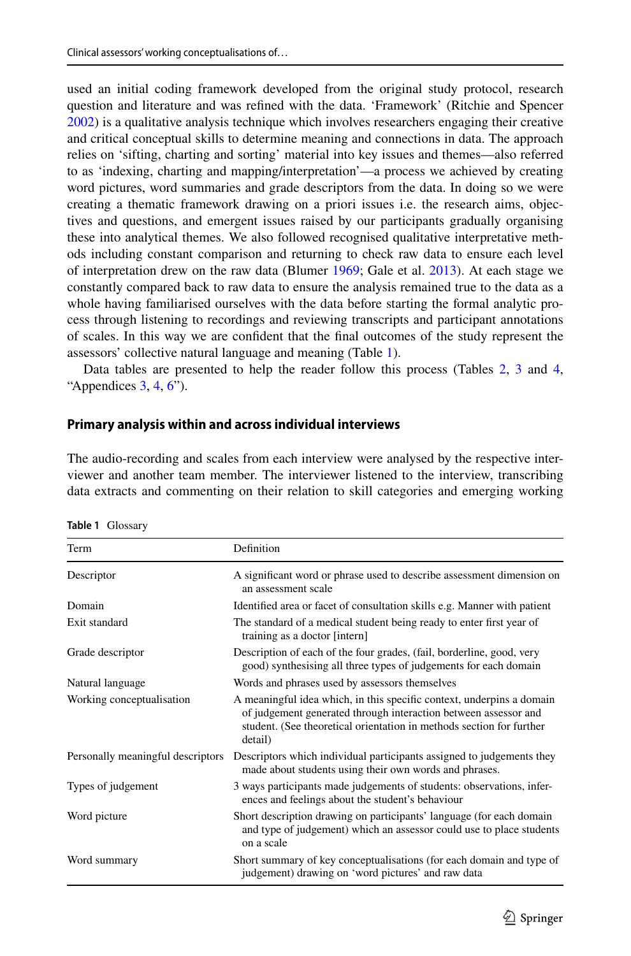used an initial coding framework developed from the original study protocol, research question and literature and was refned with the data. 'Framework' (Ritchie and Spencer [2002\)](#page-29-15) is a qualitative analysis technique which involves researchers engaging their creative and critical conceptual skills to determine meaning and connections in data. The approach relies on 'sifting, charting and sorting' material into key issues and themes—also referred to as 'indexing, charting and mapping/interpretation'—a process we achieved by creating word pictures, word summaries and grade descriptors from the data. In doing so we were creating a thematic framework drawing on a priori issues i.e. the research aims, objectives and questions, and emergent issues raised by our participants gradually organising these into analytical themes. We also followed recognised qualitative interpretative methods including constant comparison and returning to check raw data to ensure each level of interpretation drew on the raw data (Blumer [1969;](#page-27-8) Gale et al. [2013](#page-28-19)). At each stage we constantly compared back to raw data to ensure the analysis remained true to the data as a whole having familiarised ourselves with the data before starting the formal analytic process through listening to recordings and reviewing transcripts and participant annotations of scales. In this way we are confdent that the fnal outcomes of the study represent the assessors' collective natural language and meaning (Table [1\)](#page-4-0).

Data tables are presented to help the reader follow this process (Tables [2,](#page-5-0) [3](#page-9-0) and [4](#page-11-0), "Appendices  $3, 4, 6$  $3, 4, 6$  $3, 4, 6$ ").

#### **Primary analysis within and across individual interviews**

The audio-recording and scales from each interview were analysed by the respective interviewer and another team member. The interviewer listened to the interview, transcribing data extracts and commenting on their relation to skill categories and emerging working

| Term                              | Definition                                                                                                                                                                                                                  |
|-----------------------------------|-----------------------------------------------------------------------------------------------------------------------------------------------------------------------------------------------------------------------------|
| Descriptor                        | A significant word or phrase used to describe assessment dimension on<br>an assessment scale                                                                                                                                |
| Domain                            | Identified area or facet of consultation skills e.g. Manner with patient                                                                                                                                                    |
| Exit standard                     | The standard of a medical student being ready to enter first year of<br>training as a doctor [intern]                                                                                                                       |
| Grade descriptor                  | Description of each of the four grades, (fail, borderline, good, very<br>good) synthesising all three types of judgements for each domain                                                                                   |
| Natural language                  | Words and phrases used by assessors themselves                                                                                                                                                                              |
| Working conceptualisation         | A meaningful idea which, in this specific context, underpins a domain<br>of judgement generated through interaction between assessor and<br>student. (See theoretical orientation in methods section for further<br>detail) |
| Personally meaningful descriptors | Descriptors which individual participants assigned to judgements they<br>made about students using their own words and phrases.                                                                                             |
| Types of judgement                | 3 ways participants made judgements of students: observations, infer-<br>ences and feelings about the student's behaviour                                                                                                   |
| Word picture                      | Short description drawing on participants' language (for each domain<br>and type of judgement) which an assessor could use to place students<br>on a scale                                                                  |
| Word summary                      | Short summary of key conceptualisations (for each domain and type of<br>judgement) drawing on 'word pictures' and raw data                                                                                                  |

<span id="page-4-0"></span>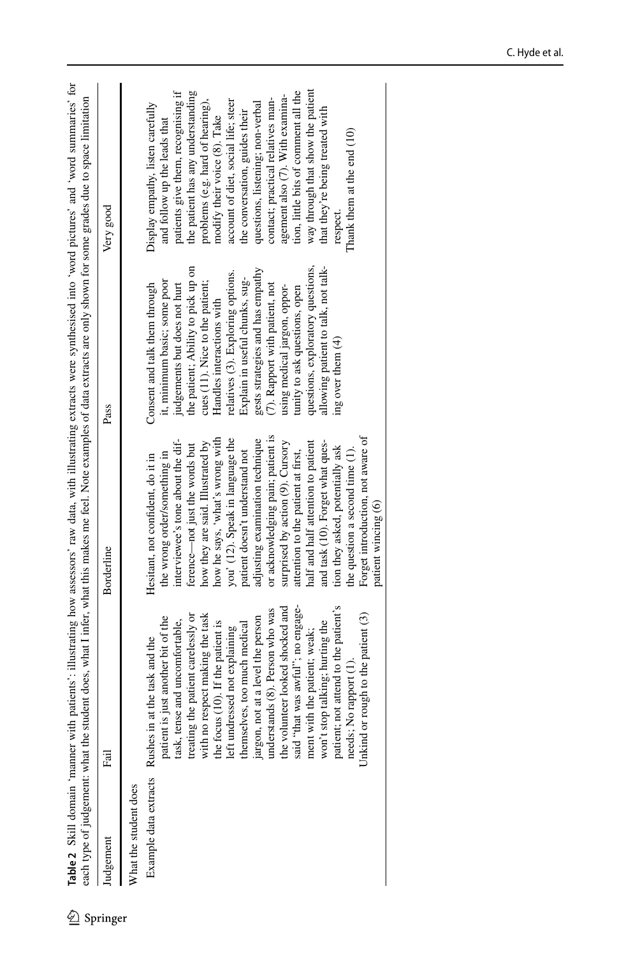<span id="page-5-0"></span>

| Judgement                       | Fail                                  | Borderline                         | Pass                                | Very good                            |
|---------------------------------|---------------------------------------|------------------------------------|-------------------------------------|--------------------------------------|
| What the student does           |                                       |                                    |                                     |                                      |
| Example data extracts Rushes in | at the task and the                   | Hesitant, not confident, do it in  | Consent and talk them through       | Display empathy, listen carefully    |
|                                 | patient is just another bit of the    | the wrong order/something in       | it, minimum basic; some poor        | and follow up the leads that         |
|                                 | task, tense and uncomfortable,        | interviewee's tone about the dif-  | judgements but does not hurt        | patients give them, recognising if   |
|                                 | treating the patient carelessly or    | ference—not just the words but     | the patient; Ability to pick up on  | the patient has any understanding    |
|                                 | with no respect making the task       | how they are said. Illustrated by  | cues (11). Nice to the patient;     | problems (e.g. hard of hearing),     |
|                                 | the focus (10). If the patient is     | how he says, 'what's wrong with    | Handles interactions with           | modify their voice (8). Take         |
|                                 | left undressed not explaining         | you' (12). Speak in language the   | relatives (3). Exploring options.   | account of diet, social life; steer  |
|                                 | themselves, too much medical          | patient doesn't understand not     | Explain in useful chunks, sug-      | the conversation, guides their       |
|                                 | jargon, not at a level the person     | adjusting examination technique    | gests strategies and has empathy    | questions, listening; non-verbal     |
|                                 | understands (8). Person who was       | or acknowledging pain; patient is  | (7). Rapport with patient, not      | contact; practical relatives man-    |
|                                 | the volunteer looked shocked and      | surprised by action (9). Cursory   | using medical jargon, oppor-        | agement also (7). With examina-      |
|                                 | said "that was awful"; no engage-     | attention to the patient at first, | tunity to ask questions, open       | tion, little bits of comment all the |
|                                 | ment with the patient; weak;          | half and half attention to patient | questions, exploratory questions,   | way through that show the patient    |
|                                 | won't stop talking; hurting the       | and task (10). Forget what ques-   | allowing patient to talk, not talk- | that they're being treated with      |
|                                 | patient; not attend to the patient's  | tion they asked, potentially ask   | ing over them $(4)$                 | respect.                             |
|                                 | needs; No rapport (1)                 | the question a second time (1).    |                                     | Thank them at the end (10)           |
|                                 | rough to the patient (3)<br>Jnkind or | Forget introduction, not aware of  |                                     |                                      |
|                                 |                                       | patient wincing (6)                |                                     |                                      |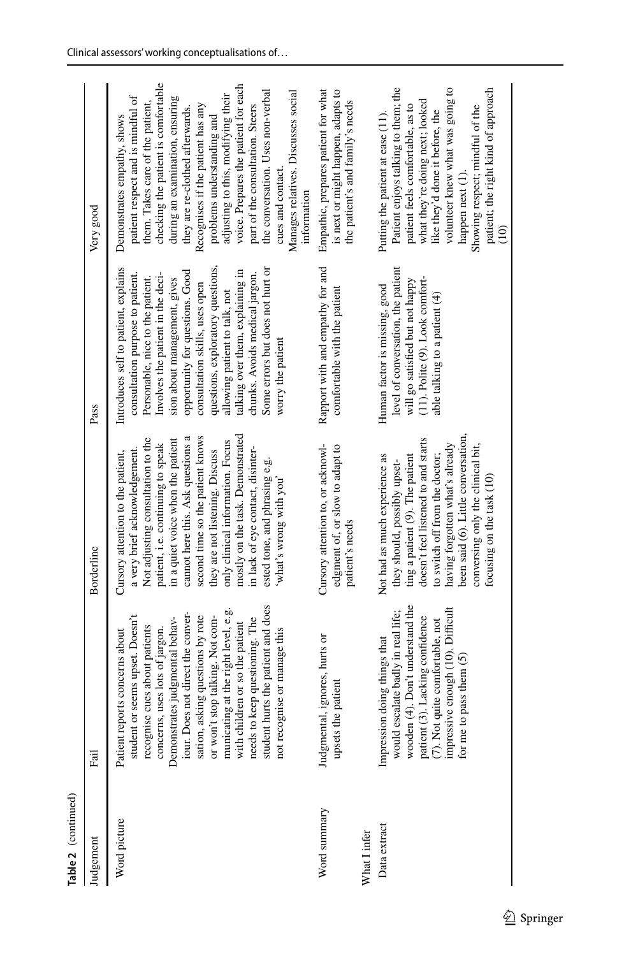| Table 2 (continued) |                                                                                                                                                                                                                                                                                                                                                                                                                                                                      |                                                                                                                                                                                                                                                                                                                                                                                                                                                                        |                                                                                                                                                                                                                                                                                                                                                                                                                                                             |                                                                                                                                                                                                                                                                                                                                                                                                                                                                                                                       |
|---------------------|----------------------------------------------------------------------------------------------------------------------------------------------------------------------------------------------------------------------------------------------------------------------------------------------------------------------------------------------------------------------------------------------------------------------------------------------------------------------|------------------------------------------------------------------------------------------------------------------------------------------------------------------------------------------------------------------------------------------------------------------------------------------------------------------------------------------------------------------------------------------------------------------------------------------------------------------------|-------------------------------------------------------------------------------------------------------------------------------------------------------------------------------------------------------------------------------------------------------------------------------------------------------------------------------------------------------------------------------------------------------------------------------------------------------------|-----------------------------------------------------------------------------------------------------------------------------------------------------------------------------------------------------------------------------------------------------------------------------------------------------------------------------------------------------------------------------------------------------------------------------------------------------------------------------------------------------------------------|
| Judgement           | Fail                                                                                                                                                                                                                                                                                                                                                                                                                                                                 | Borderline                                                                                                                                                                                                                                                                                                                                                                                                                                                             | Pass                                                                                                                                                                                                                                                                                                                                                                                                                                                        | Very good                                                                                                                                                                                                                                                                                                                                                                                                                                                                                                             |
| Word picture        | student hurts the patient and does<br>municating at the right level, e.g.<br>iour. Does not direct the conver-<br>sation, asking questions by rote<br>or won't stop talking. Not com-<br>student or seems upset. Doesn't<br>needs to keep questioning. The<br>Demonstrates judgmental behav-<br>with children or so the patient<br>recognise cues about patients<br>concerns, uses lots of jargon.<br>not recognise or manage this<br>Patient reports concerns about | mostly on the task. Demonstrated<br>second time so the patient knows<br>cannot here this. Ask questions a<br>Not adjusting consultation to the<br>in a quiet voice when the patient<br>only clinical information. Focus<br>patient, i.e. continuing to speak<br>a very brief acknowledgement.<br>in lack of eye contact, disinter-<br>they are not listening. Discuss<br>Cursory attention to the patient,<br>ested tone, and phrasing e.g.<br>'what's wrong with you' | Introduces self to patient, explains<br>questions, exploratory questions,<br>Some errors but does not hurt or<br>opportunity for questions. Good<br>talking over them, explaining in<br>chunks. Avoids medical jargon.<br>consultation purpose to patient.<br>Involves the patient in the deci-<br>Personable, nice to the patient.<br>sion about management, gives<br>consultation skills, uses open<br>allowing patient to talk, not<br>worry the patient | checking the patient is comfortable<br>voice. Prepares the patient for each<br>the conversation. Uses non-verbal<br>Manages relatives. Discusses social<br>adjusting to this, modifying their<br>during an examination, ensuring<br>patient respect and is mindful of<br>them. Takes care of the patient,<br>Recognises if the patient has any<br>they are re-clothed afterwards.<br>part of the consultation. Steers<br>Demonstrates empathy, shows<br>problems understanding and<br>cues and contact<br>information |
| Word summary        | Judgmental, ignores, hurts or<br>upsets the patient                                                                                                                                                                                                                                                                                                                                                                                                                  | Cursory attention to, or acknowl-<br>edgment of, or slow to adapt to<br>patient's needs                                                                                                                                                                                                                                                                                                                                                                                | Rapport with and empathy for and<br>comfortable with the patient                                                                                                                                                                                                                                                                                                                                                                                            | is next or might happen, adapts to<br>Empathic, prepares patient for what<br>the patient's and family's needs                                                                                                                                                                                                                                                                                                                                                                                                         |
| What I infer        |                                                                                                                                                                                                                                                                                                                                                                                                                                                                      |                                                                                                                                                                                                                                                                                                                                                                                                                                                                        |                                                                                                                                                                                                                                                                                                                                                                                                                                                             |                                                                                                                                                                                                                                                                                                                                                                                                                                                                                                                       |
| Data extract        | (4). Don't understand the<br>impressive enough (10). Difficult<br>would escalate badly in real life;<br>patient (3). Lacking confidence<br>(7). Not quite comfortable, not<br>Impression doing things that<br>for me to pass them (5)<br>wooden                                                                                                                                                                                                                      | been said (6). Little conversation,<br>doesn't feel listened to and starts<br>having forgotten what's already<br>conversing only the clinical bit,<br>ting a patient (9). The patient<br>Not had as much experience as<br>to switch off from the doctor;<br>they should, possibly upset-<br>focusing on the task (10)                                                                                                                                                  | level of conversation, the patient<br>$(11)$ . Polite $(9)$ . Look comfort-<br>will go satisfied but not happy<br>Human factor is missing, good<br>able talking to a patient (4)                                                                                                                                                                                                                                                                            | Patient enjoys talking to them; the<br>volunteer knew what was going to<br>patient; the right kind of approach<br>what they're doing next; looked<br>Showing respect; mindful of the<br>patient feels comfortable, as to<br>like they'd done it before, the<br>Putting the patient at ease (11).<br>happen next (1)<br>$\frac{1}{2}$                                                                                                                                                                                  |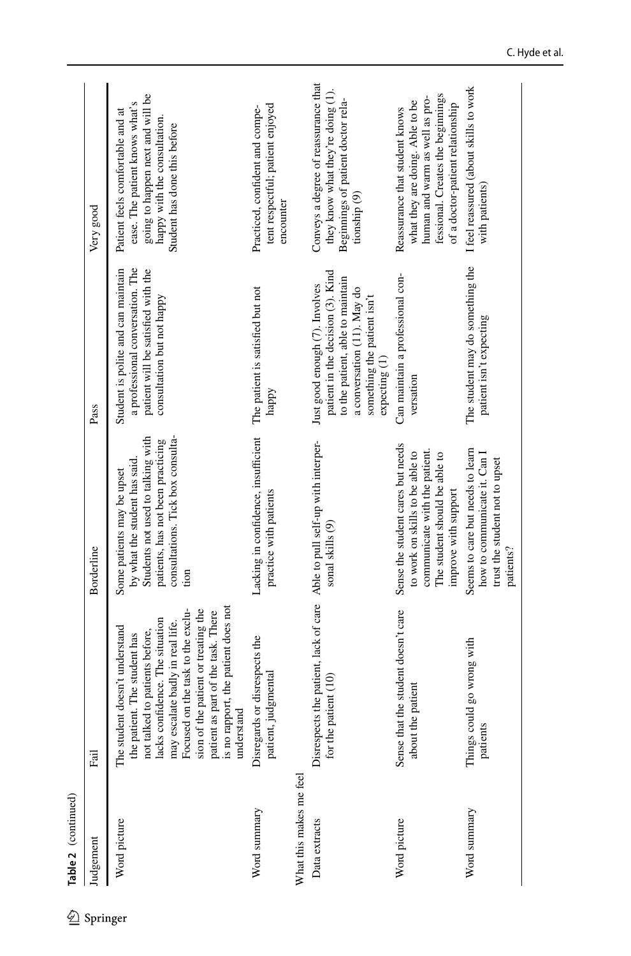|               | Judgement               | Fail                                                                                                                                                                                                                                                                                                                                           | Borderline                                                                                                                                                                         | Pass                                                                                                                                                                                   | Very good                                                                                                                                                                    |
|---------------|-------------------------|------------------------------------------------------------------------------------------------------------------------------------------------------------------------------------------------------------------------------------------------------------------------------------------------------------------------------------------------|------------------------------------------------------------------------------------------------------------------------------------------------------------------------------------|----------------------------------------------------------------------------------------------------------------------------------------------------------------------------------------|------------------------------------------------------------------------------------------------------------------------------------------------------------------------------|
|               | Word picture            | is no rapport, the patient does not<br>Focused on the task to the exclu-<br>sion of the patient or treating the<br>patient as part of the task. There<br>lacks confidence. The situation<br>may escalate badly in real life.<br>The student doesn't understand<br>not talked to patients before,<br>the patient. The student has<br>understand | consultations. Tick box consulta-<br>Students not used to talking with<br>patients, has not been practicing<br>by what the student has said.<br>Some patients may be upset<br>tion | a professional conversation. The<br>Student is polite and can maintain<br>patient will be satisfied with the<br>consultation but not happy                                             | going to happen next and will be<br>ease. The patient knows what's<br>Patient feels comfortable and at<br>happy with the consultation.<br>Student has done this before       |
|               | Word summary            | Disregards or disrespects the<br>judgmental<br>patient, j                                                                                                                                                                                                                                                                                      | Lacking in confidence, insufficient<br>practice with patients                                                                                                                      | The patient is satisfied but not<br>happy                                                                                                                                              | tent respectful; patient enjoyed<br>Practiced, confident and compe-<br>encounter                                                                                             |
|               | What this makes me feel |                                                                                                                                                                                                                                                                                                                                                |                                                                                                                                                                                    |                                                                                                                                                                                        |                                                                                                                                                                              |
| Data extracts |                         | Disrespects the patient, lack of care Able to pull self-up with interper-<br>for the patient (10)                                                                                                                                                                                                                                              | sonal skills (9)                                                                                                                                                                   | patient in the decision (3). Kind<br>to the patient, able to maintain<br>Just good enough (7). Involves<br>a conversation (11). May do<br>something the patient isn't<br>expecting (1) | Conveys a degree of reassurance that<br>they know what they're doing (1).<br>Beginnings of patient doctor rela-<br>tionship (9)                                              |
| Word picture  |                         | Sense that the student doesn't care<br>about the patient                                                                                                                                                                                                                                                                                       | Sense the student cares but needs<br>communicate with the patient.<br>to work on skills to be able to<br>The student should be able to<br>improve with support                     | Can maintain a professional con-<br>versation                                                                                                                                          | fessional. Creates the beginnings<br>human and warm as well as pro-<br>what they are doing. Able to be<br>of a doctor-patient relationship<br>Reassurance that student knows |
|               | Word summary            | Things could go wrong with<br>patients                                                                                                                                                                                                                                                                                                         | Seems to care but needs to learn<br>how to communicate it. Can I<br>trust the student not to upset<br>patients?                                                                    | The student may do something the<br>patient isn't expecting                                                                                                                            | I feel reassured (about skills to work<br>with patients)                                                                                                                     |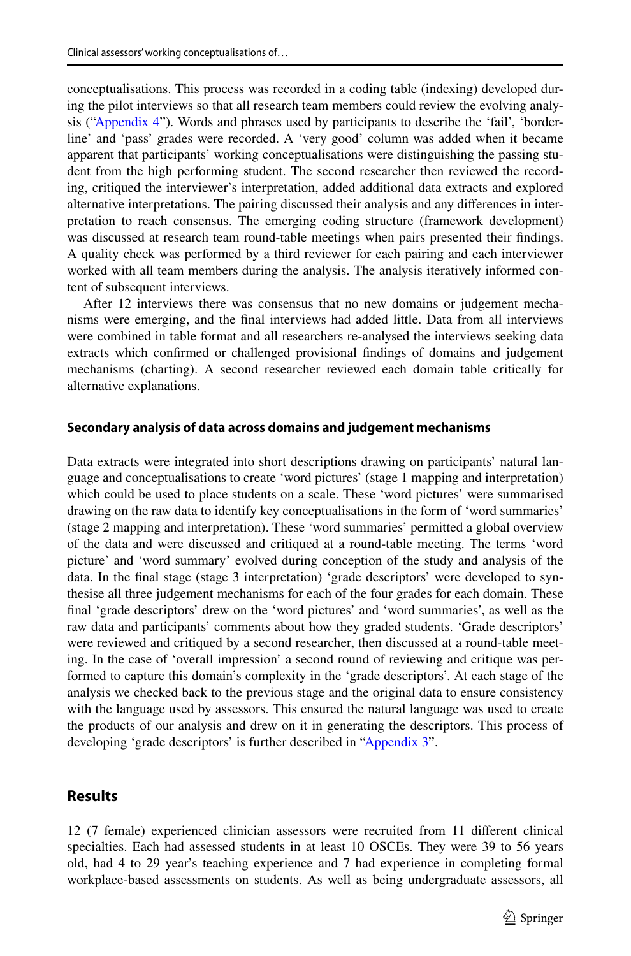conceptualisations. This process was recorded in a coding table (indexing) developed during the pilot interviews so that all research team members could review the evolving analysis (["Appendix 4](#page-18-0)"). Words and phrases used by participants to describe the 'fail', 'borderline' and 'pass' grades were recorded. A 'very good' column was added when it became apparent that participants' working conceptualisations were distinguishing the passing student from the high performing student. The second researcher then reviewed the recording, critiqued the interviewer's interpretation, added additional data extracts and explored alternative interpretations. The pairing discussed their analysis and any diferences in interpretation to reach consensus. The emerging coding structure (framework development) was discussed at research team round-table meetings when pairs presented their fndings. A quality check was performed by a third reviewer for each pairing and each interviewer worked with all team members during the analysis. The analysis iteratively informed content of subsequent interviews.

After 12 interviews there was consensus that no new domains or judgement mechanisms were emerging, and the fnal interviews had added little. Data from all interviews were combined in table format and all researchers re-analysed the interviews seeking data extracts which confrmed or challenged provisional fndings of domains and judgement mechanisms (charting). A second researcher reviewed each domain table critically for alternative explanations.

#### **Secondary analysis of data across domains and judgement mechanisms**

Data extracts were integrated into short descriptions drawing on participants' natural language and conceptualisations to create 'word pictures' (stage 1 mapping and interpretation) which could be used to place students on a scale. These 'word pictures' were summarised drawing on the raw data to identify key conceptualisations in the form of 'word summaries' (stage 2 mapping and interpretation). These 'word summaries' permitted a global overview of the data and were discussed and critiqued at a round-table meeting. The terms 'word picture' and 'word summary' evolved during conception of the study and analysis of the data. In the fnal stage (stage 3 interpretation) 'grade descriptors' were developed to synthesise all three judgement mechanisms for each of the four grades for each domain. These fnal 'grade descriptors' drew on the 'word pictures' and 'word summaries', as well as the raw data and participants' comments about how they graded students. 'Grade descriptors' were reviewed and critiqued by a second researcher, then discussed at a round-table meeting. In the case of 'overall impression' a second round of reviewing and critique was performed to capture this domain's complexity in the 'grade descriptors'. At each stage of the analysis we checked back to the previous stage and the original data to ensure consistency with the language used by assessors. This ensured the natural language was used to create the products of our analysis and drew on it in generating the descriptors. This process of developing 'grade descriptors' is further described in ["Appendix 3"](#page-15-0).

### <span id="page-8-0"></span>**Results**

12 (7 female) experienced clinician assessors were recruited from 11 diferent clinical specialties. Each had assessed students in at least 10 OSCEs. They were 39 to 56 years old, had 4 to 29 year's teaching experience and 7 had experience in completing formal workplace-based assessments on students. As well as being undergraduate assessors, all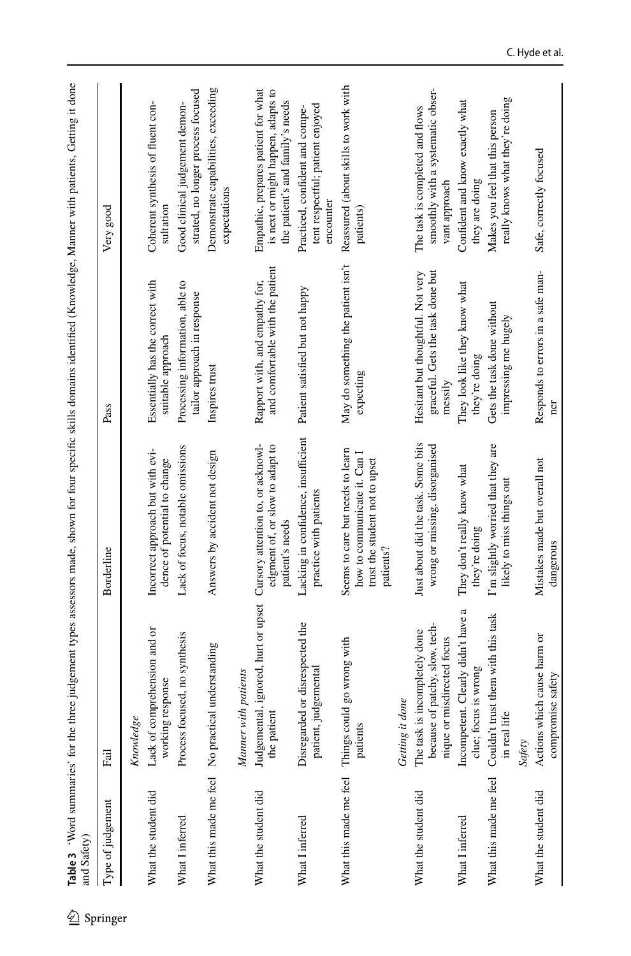<span id="page-9-0"></span>

| Type of judgement      | Fail                                                                                          | Borderline                                                                                                      | Pass                                                                             | Very good                                                                                                     |
|------------------------|-----------------------------------------------------------------------------------------------|-----------------------------------------------------------------------------------------------------------------|----------------------------------------------------------------------------------|---------------------------------------------------------------------------------------------------------------|
|                        | Knowledge                                                                                     |                                                                                                                 |                                                                                  |                                                                                                               |
| What the student did   | Lack of comprehension and or<br>working response                                              | Incorrect approach but with evi-<br>dence of potential to change                                                | Essentially has the correct with<br>suitable approach                            | Coherent synthesis of fluent con-<br>sultation                                                                |
| What I inferred        | Process focused, no synthesis                                                                 | Lack of focus, notable omissions                                                                                | Processing information, able to<br>tailor approach in response                   | strated, no longer process focused<br>Good clinical judgement demon-                                          |
|                        | What this made me feel No practical understanding                                             | Answers by accident not design                                                                                  | Inspires trust                                                                   | Demonstrate capabilities, exceeding<br>expectations                                                           |
|                        | Manner with patients                                                                          |                                                                                                                 |                                                                                  |                                                                                                               |
| What the student did   | Judgemental, ignored, hurt or upset<br>the patient                                            | Cursory attention to, or acknowl-<br>edgment of, or slow to adapt to<br>patient's needs                         | and comfortable with the patient<br>Rapport with, and empathy for,               | Empathic, prepares patient for what<br>is next or might happen, adapts to<br>the patient's and family's needs |
| What I inferred        | ed or disrespected the<br>judgementa<br>Disregard<br>patient,                                 | Lacking in confidence, insufficient<br>practice with patients                                                   | Patient satisfied but not happy                                                  | tent respectful; patient enjoyed<br>Practiced, confident and compe-<br>encounter                              |
| What this made me feel | Things could go wrong with<br>patients                                                        | Seems to care but needs to learn<br>how to communicate it. Can I<br>trust the student not to upset<br>patients? | May do something the patient isn't<br>expecting                                  | Reassured (about skills to work with<br>patients)                                                             |
|                        | done<br>Getting it                                                                            |                                                                                                                 |                                                                                  |                                                                                                               |
| What the student did   | because of patchy, slow, tech-<br>The task is incompletely done<br>nique or misdirected focus | Just about did the task. Some bits<br>wrong or missing, disorganised                                            | graceful. Gets the task done but<br>Hesitant but thoughtful. Not very<br>messily | smoothly with a systematic obser-<br>The task is completed and flows<br>vant approach                         |
| What I inferred        | ß<br>Incompetent. Clearly didn't have<br>clue; focus is wrong                                 | They don't really know what<br>they're doing                                                                    | They look like they know what<br>they're doing                                   | Confident and know exactly what<br>they are doing                                                             |
| What this made me feel | Couldn't trust them with this task<br>L€<br>in real<br>Safety                                 | I'm slightly worried that they are<br>likely to miss things out                                                 | Gets the task done without<br>impressing me hugely                               | really knows what they're doing<br>Makes you feel that this person                                            |
| What the student did   | Actions which cause harm or<br>compromise safety                                              | Mistakes made but overall not<br>dangerous                                                                      | Responds to errors in a safe man-                                                | Safe, correctly focused                                                                                       |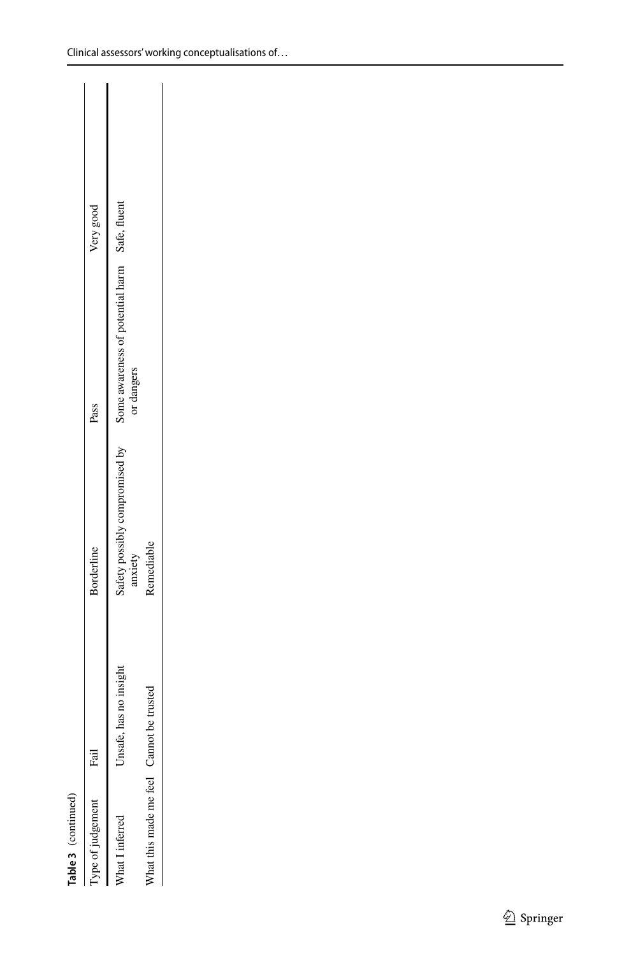| Table 3 (continued)              |                        |                   |                                                                                            |           |
|----------------------------------|------------------------|-------------------|--------------------------------------------------------------------------------------------|-----------|
| Type of judgement Fail           |                        | <b>Borderline</b> | Pass                                                                                       | Very good |
| What I inferred                  | Unsafe, has no insight | anxiety           | Safety possibly compromised by Some awareness of potential harm Safe, fluent<br>or dangers |           |
| What this made me feel Cannot be | trusted                | Remediable        |                                                                                            |           |
|                                  |                        |                   |                                                                                            |           |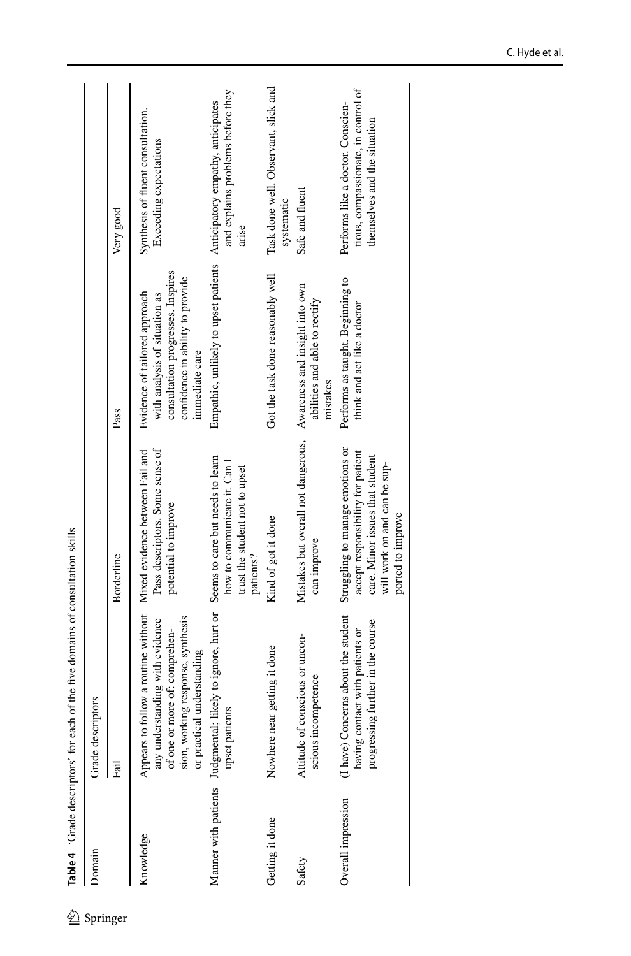| Domain             | Grade descriptors                                                                                                                                                                                          |                                                                                                                                                               |                                                                                                                                                           |                                                                                                          |
|--------------------|------------------------------------------------------------------------------------------------------------------------------------------------------------------------------------------------------------|---------------------------------------------------------------------------------------------------------------------------------------------------------------|-----------------------------------------------------------------------------------------------------------------------------------------------------------|----------------------------------------------------------------------------------------------------------|
|                    | Fail                                                                                                                                                                                                       | Borderline                                                                                                                                                    | Pass                                                                                                                                                      | Very good                                                                                                |
| Knowledge          | Appears to follow a routine without Mixed evidence between Fail and<br>sion, working response, synthesis<br>any understanding with evidence<br>of one or more of: comprehen-<br>or practical understanding | Pass descriptors. Some sense of<br>potential to improve                                                                                                       | consultation progresses. Inspires<br>confidence in ability to provide<br>Evidence of tailored approach<br>with analysis of situation as<br>immediate care | Synthesis of fluent consultation.<br>Exceeding expectations                                              |
|                    | Manner with patients Judgmental; likely to ignore, hurt or<br>upset patients                                                                                                                               | Seems to care but needs to learn<br>how to communicate it. Can I<br>trust the student not to upset<br>patients?                                               | Empathic, unlikely to upset patients Anticipatory empathy, anticipates                                                                                    | and explains problems before they<br>arise                                                               |
| Getting it done    | Nowhere near getting it done                                                                                                                                                                               | Kind of got it done                                                                                                                                           | Got the task done reasonably well                                                                                                                         | Task done well. Observant, slick and<br>systematic                                                       |
| Safety             | Attitude of conscious or uncon-<br>scious incompetence                                                                                                                                                     | Mistakes but overall not dangerous,<br>can improve                                                                                                            | Awareness and insight into own<br>abilities and able to rectify<br>mistakes                                                                               | Safe and fluent                                                                                          |
| Overall impression | (I have) Concerns about the student<br>progressing further in the course<br>having contact with patients or                                                                                                | Struggling to manage emotions or<br>accept responsibility for patient<br>care. Minor issues that student<br>will work on and can be sup-<br>ported to improve | Performs as taught. Beginning to<br>think and act like a doctor                                                                                           | tious, compassionate, in control of<br>Performs like a doctor. Conscien-<br>themselves and the situation |

<span id="page-11-0"></span>Table 4 'Grade descriptors' for each of the five domains of consultation skills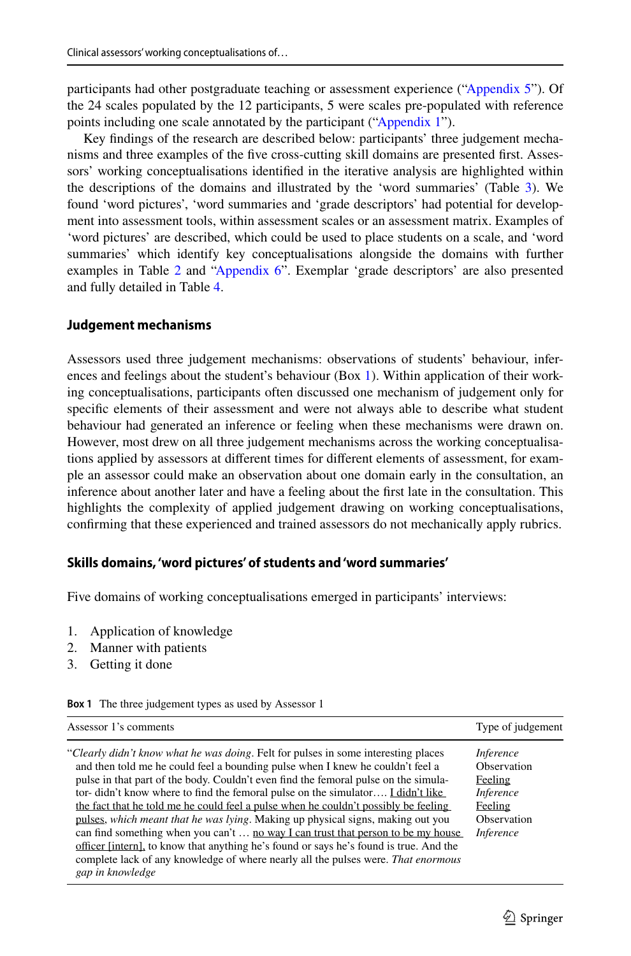participants had other postgraduate teaching or assessment experience (["Appendix 5](#page-19-0)"). Of the 24 scales populated by the 12 participants, 5 were scales pre-populated with reference points including one scale annotated by the participant (["Appendix 1"](#page-2-0)).

Key fndings of the research are described below: participants' three judgement mechanisms and three examples of the fve cross-cutting skill domains are presented frst. Assessors' working conceptualisations identifed in the iterative analysis are highlighted within the descriptions of the domains and illustrated by the 'word summaries' (Table [3\)](#page-9-0). We found 'word pictures', 'word summaries and 'grade descriptors' had potential for development into assessment tools, within assessment scales or an assessment matrix. Examples of 'word pictures' are described, which could be used to place students on a scale, and 'word summaries' which identify key conceptualisations alongside the domains with further examples in Table [2](#page-5-0) and ["Appendix 6](#page-2-1)". Exemplar 'grade descriptors' are also presented and fully detailed in Table [4.](#page-11-0)

#### **Judgement mechanisms**

Assessors used three judgement mechanisms: observations of students' behaviour, inferences and feelings about the student's behaviour (Box [1\)](#page-12-0). Within application of their working conceptualisations, participants often discussed one mechanism of judgement only for specifc elements of their assessment and were not always able to describe what student behaviour had generated an inference or feeling when these mechanisms were drawn on. However, most drew on all three judgement mechanisms across the working conceptualisations applied by assessors at diferent times for diferent elements of assessment, for example an assessor could make an observation about one domain early in the consultation, an inference about another later and have a feeling about the frst late in the consultation. This highlights the complexity of applied judgement drawing on working conceptualisations, confrming that these experienced and trained assessors do not mechanically apply rubrics.

#### **Skills domains, 'word pictures' of students and 'word summaries'**

Five domains of working conceptualisations emerged in participants' interviews:

- 1. Application of knowledge
- 2. Manner with patients
- 3. Getting it done

#### <span id="page-12-0"></span>**Box 1** The three judgement types as used by Assessor 1

| Assessor 1's comments                                                                                                                                                                                                                                                                                                                                                                                                                                                                                                                                                                                                                                                                                                                                                                      | Type of judgement                                                                                            |
|--------------------------------------------------------------------------------------------------------------------------------------------------------------------------------------------------------------------------------------------------------------------------------------------------------------------------------------------------------------------------------------------------------------------------------------------------------------------------------------------------------------------------------------------------------------------------------------------------------------------------------------------------------------------------------------------------------------------------------------------------------------------------------------------|--------------------------------------------------------------------------------------------------------------|
| "Clearly didn't know what he was doing. Felt for pulses in some interesting places<br>and then told me he could feel a bounding pulse when I knew he couldn't feel a<br>pulse in that part of the body. Couldn't even find the femoral pulse on the simula-<br>tor-didn't know where to find the femoral pulse on the simulator I didn't like<br>the fact that he told me he could feel a pulse when he couldn't possibly be feeling<br>pulses, which meant that he was lying. Making up physical signs, making out you<br>can find something when you can't  no way I can trust that person to be my house<br>officer [intern], to know that anything he's found or says he's found is true. And the<br>complete lack of any knowledge of where nearly all the pulses were. That enormous | <i>Inference</i><br>Observation<br>Feeling<br><i>Inference</i><br>Feeling<br>Observation<br><i>Inference</i> |
| gap in knowledge                                                                                                                                                                                                                                                                                                                                                                                                                                                                                                                                                                                                                                                                                                                                                                           |                                                                                                              |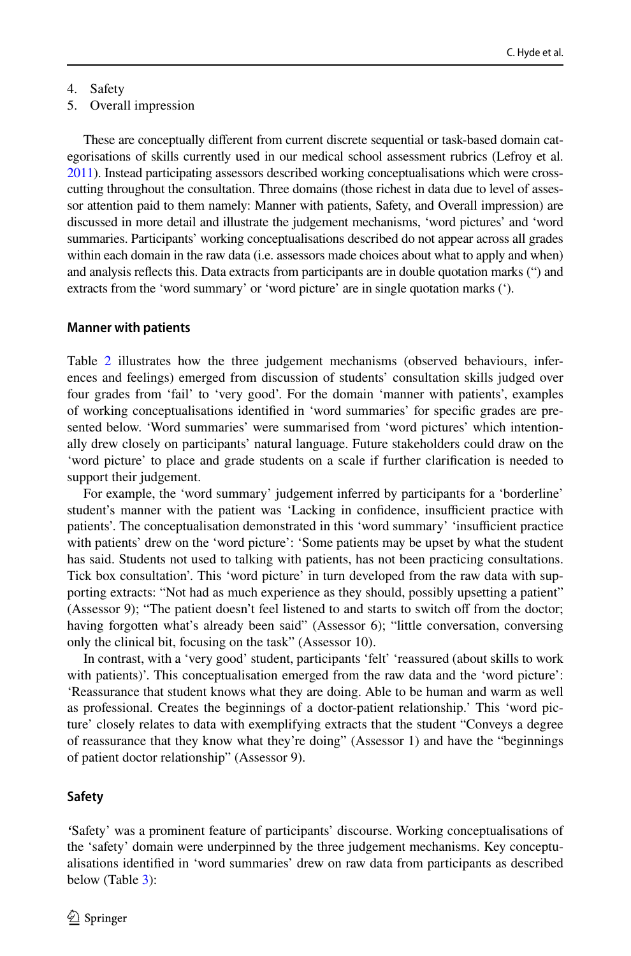#### 4. Safety

5. Overall impression

These are conceptually diferent from current discrete sequential or task-based domain categorisations of skills currently used in our medical school assessment rubrics (Lefroy et al. [2011](#page-28-15)). Instead participating assessors described working conceptualisations which were crosscutting throughout the consultation. Three domains (those richest in data due to level of assessor attention paid to them namely: Manner with patients, Safety, and Overall impression) are discussed in more detail and illustrate the judgement mechanisms, 'word pictures' and 'word summaries. Participants' working conceptualisations described do not appear across all grades within each domain in the raw data (i.e. assessors made choices about what to apply and when) and analysis refects this. Data extracts from participants are in double quotation marks (") and extracts from the 'word summary' or 'word picture' are in single quotation marks (').

### **Manner with patients**

Table [2](#page-5-0) illustrates how the three judgement mechanisms (observed behaviours, inferences and feelings) emerged from discussion of students' consultation skills judged over four grades from 'fail' to 'very good'. For the domain 'manner with patients', examples of working conceptualisations identifed in 'word summaries' for specifc grades are presented below. 'Word summaries' were summarised from 'word pictures' which intentionally drew closely on participants' natural language. Future stakeholders could draw on the 'word picture' to place and grade students on a scale if further clarifcation is needed to support their judgement.

For example, the 'word summary' judgement inferred by participants for a 'borderline' student's manner with the patient was 'Lacking in confidence, insufficient practice with patients'. The conceptualisation demonstrated in this 'word summary' 'insufficient practice with patients' drew on the 'word picture': 'Some patients may be upset by what the student has said. Students not used to talking with patients, has not been practicing consultations. Tick box consultation'. This 'word picture' in turn developed from the raw data with supporting extracts: "Not had as much experience as they should, possibly upsetting a patient" (Assessor 9); "The patient doesn't feel listened to and starts to switch off from the doctor; having forgotten what's already been said" (Assessor 6); "little conversation, conversing only the clinical bit, focusing on the task" (Assessor 10).

In contrast, with a 'very good' student, participants 'felt' 'reassured (about skills to work with patients)'. This conceptualisation emerged from the raw data and the 'word picture': 'Reassurance that student knows what they are doing. Able to be human and warm as well as professional. Creates the beginnings of a doctor-patient relationship.' This 'word picture' closely relates to data with exemplifying extracts that the student "Conveys a degree of reassurance that they know what they're doing" (Assessor 1) and have the "beginnings of patient doctor relationship" (Assessor 9).

## **Safety**

*'*Safety' was a prominent feature of participants' discourse. Working conceptualisations of the 'safety' domain were underpinned by the three judgement mechanisms. Key conceptualisations identifed in 'word summaries' drew on raw data from participants as described below (Table [3\)](#page-9-0):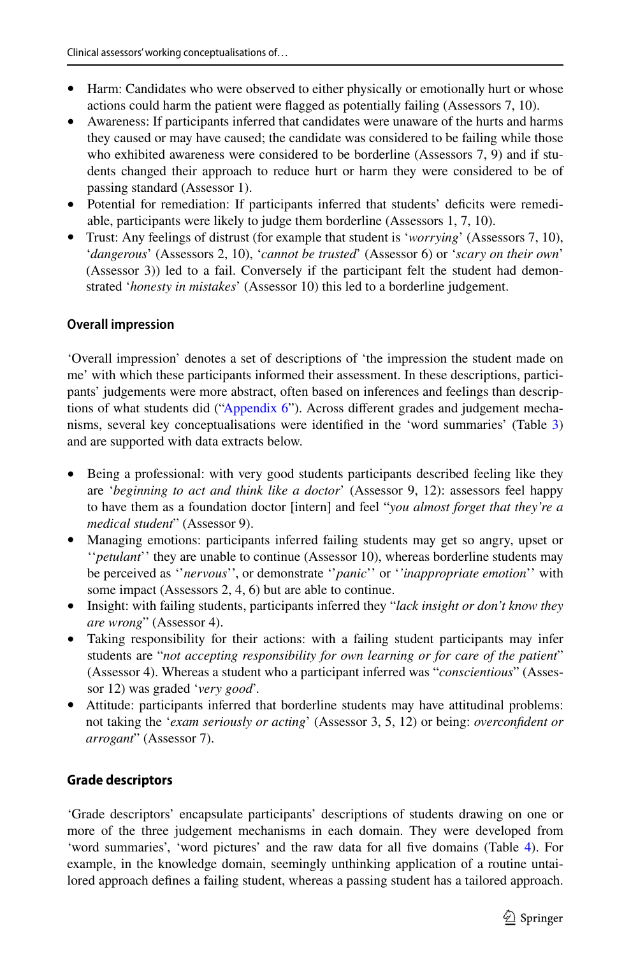- Harm: Candidates who were observed to either physically or emotionally hurt or whose actions could harm the patient were fagged as potentially failing (Assessors 7, 10).
- Awareness: If participants inferred that candidates were unaware of the hurts and harms they caused or may have caused; the candidate was considered to be failing while those who exhibited awareness were considered to be borderline (Assessors 7, 9) and if students changed their approach to reduce hurt or harm they were considered to be of passing standard (Assessor 1).
- Potential for remediation: If participants inferred that students' defcits were remediable, participants were likely to judge them borderline (Assessors 1, 7, 10).
- Trust: Any feelings of distrust (for example that student is '*worrying*' (Assessors 7, 10), '*dangerous*' (Assessors 2, 10), '*cannot be trusted*' (Assessor 6) or '*scary on their own*' (Assessor 3)) led to a fail. Conversely if the participant felt the student had demonstrated '*honesty in mistakes*' (Assessor 10) this led to a borderline judgement.

## **Overall impression**

'Overall impression' denotes a set of descriptions of 'the impression the student made on me' with which these participants informed their assessment. In these descriptions, participants' judgements were more abstract, often based on inferences and feelings than descrip-tions of what students did (["Appendix 6"](#page-2-1)). Across different grades and judgement mechanisms, several key conceptualisations were identifed in the 'word summaries' (Table [3](#page-9-0)) and are supported with data extracts below.

- Being a professional: with very good students participants described feeling like they are '*beginning to act and think like a doctor*' (Assessor 9, 12): assessors feel happy to have them as a foundation doctor [intern] and feel "*you almost forget that they're a medical student*" (Assessor 9).
- Managing emotions: participants inferred failing students may get so angry, upset or ''*petulant*'' they are unable to continue (Assessor 10), whereas borderline students may be perceived as ''*nervous*'', or demonstrate ''*panic*'' or '*'inappropriate emotion*'' with some impact (Assessors 2, 4, 6) but are able to continue.
- Insight: with failing students, participants inferred they "*lack insight or don't know they are wrong*" (Assessor 4).
- Taking responsibility for their actions: with a failing student participants may infer students are "*not accepting responsibility for own learning or for care of the patient*" (Assessor 4). Whereas a student who a participant inferred was "*conscientious*" (Assessor 12) was graded '*very good*'.
- Attitude: participants inferred that borderline students may have attitudinal problems: not taking the '*exam seriously or acting*' (Assessor 3, 5, 12) or being: *overconfdent or arrogant*" (Assessor 7).

# **Grade descriptors**

'Grade descriptors' encapsulate participants' descriptions of students drawing on one or more of the three judgement mechanisms in each domain. They were developed from 'word summaries', 'word pictures' and the raw data for all five domains (Table [4](#page-11-0)). For example, in the knowledge domain, seemingly unthinking application of a routine untailored approach defnes a failing student, whereas a passing student has a tailored approach.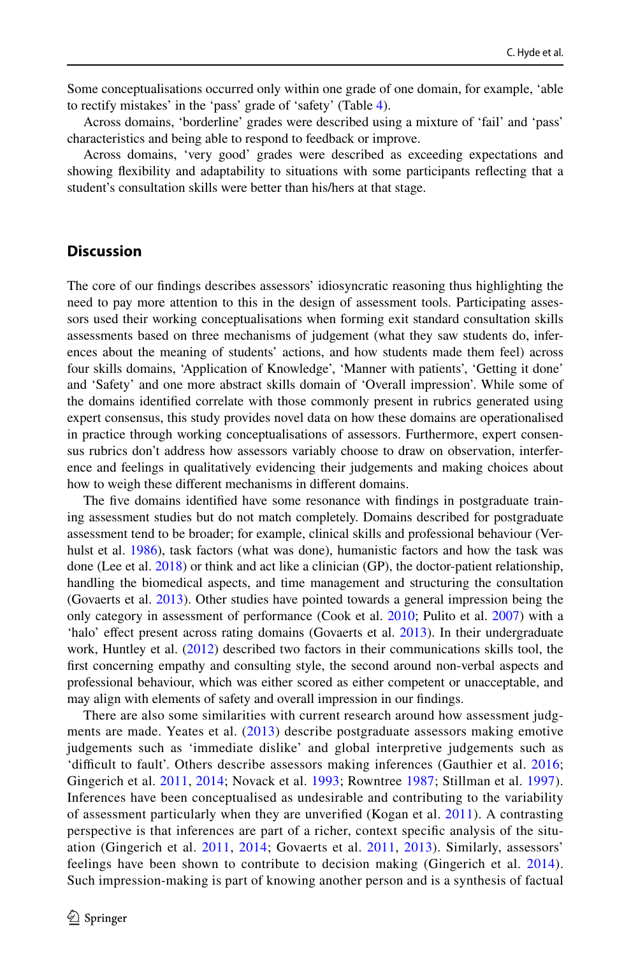Some conceptualisations occurred only within one grade of one domain, for example, 'able to rectify mistakes' in the 'pass' grade of 'safety' (Table [4\)](#page-11-0).

Across domains, 'borderline' grades were described using a mixture of 'fail' and 'pass' characteristics and being able to respond to feedback or improve.

Across domains, 'very good' grades were described as exceeding expectations and showing fexibility and adaptability to situations with some participants refecting that a student's consultation skills were better than his/hers at that stage.

### <span id="page-15-0"></span>**Discussion**

The core of our fndings describes assessors' idiosyncratic reasoning thus highlighting the need to pay more attention to this in the design of assessment tools. Participating assessors used their working conceptualisations when forming exit standard consultation skills assessments based on three mechanisms of judgement (what they saw students do, inferences about the meaning of students' actions, and how students made them feel) across four skills domains, 'Application of Knowledge', 'Manner with patients', 'Getting it done' and 'Safety' and one more abstract skills domain of 'Overall impression'. While some of the domains identifed correlate with those commonly present in rubrics generated using expert consensus, this study provides novel data on how these domains are operationalised in practice through working conceptualisations of assessors. Furthermore, expert consensus rubrics don't address how assessors variably choose to draw on observation, interference and feelings in qualitatively evidencing their judgements and making choices about how to weigh these diferent mechanisms in diferent domains.

The five domains identified have some resonance with findings in postgraduate training assessment studies but do not match completely. Domains described for postgraduate assessment tend to be broader; for example, clinical skills and professional behaviour (Verhulst et al. [1986\)](#page-29-16), task factors (what was done), humanistic factors and how the task was done (Lee et al. [2018](#page-28-20)) or think and act like a clinician (GP), the doctor-patient relationship, handling the biomedical aspects, and time management and structuring the consultation (Govaerts et al. [2013\)](#page-28-8). Other studies have pointed towards a general impression being the only category in assessment of performance (Cook et al. [2010](#page-27-11); Pulito et al. [2007\)](#page-29-17) with a 'halo' effect present across rating domains (Govaerts et al. [2013\)](#page-28-8). In their undergraduate work, Huntley et al. [\(2012](#page-28-13)) described two factors in their communications skills tool, the frst concerning empathy and consulting style, the second around non-verbal aspects and professional behaviour, which was either scored as either competent or unacceptable, and may align with elements of safety and overall impression in our fndings.

There are also some similarities with current research around how assessment judgments are made. Yeates et al. ([2013\)](#page-29-9) describe postgraduate assessors making emotive judgements such as 'immediate dislike' and global interpretive judgements such as 'difficult to fault'. Others describe assessors making inferences (Gauthier et al. [2016;](#page-28-10) Gingerich et al. [2011](#page-28-11), [2014](#page-28-9); Novack et al. [1993;](#page-28-1) Rowntree [1987;](#page-29-18) Stillman et al. [1997\)](#page-29-1). Inferences have been conceptualised as undesirable and contributing to the variability of assessment particularly when they are unverifed (Kogan et al. [2011\)](#page-28-21). A contrasting perspective is that inferences are part of a richer, context specifc analysis of the situation (Gingerich et al. [2011](#page-28-11), [2014](#page-28-9); Govaerts et al. [2011,](#page-28-7) [2013](#page-28-8)). Similarly, assessors' feelings have been shown to contribute to decision making (Gingerich et al. [2014\)](#page-28-9). Such impression-making is part of knowing another person and is a synthesis of factual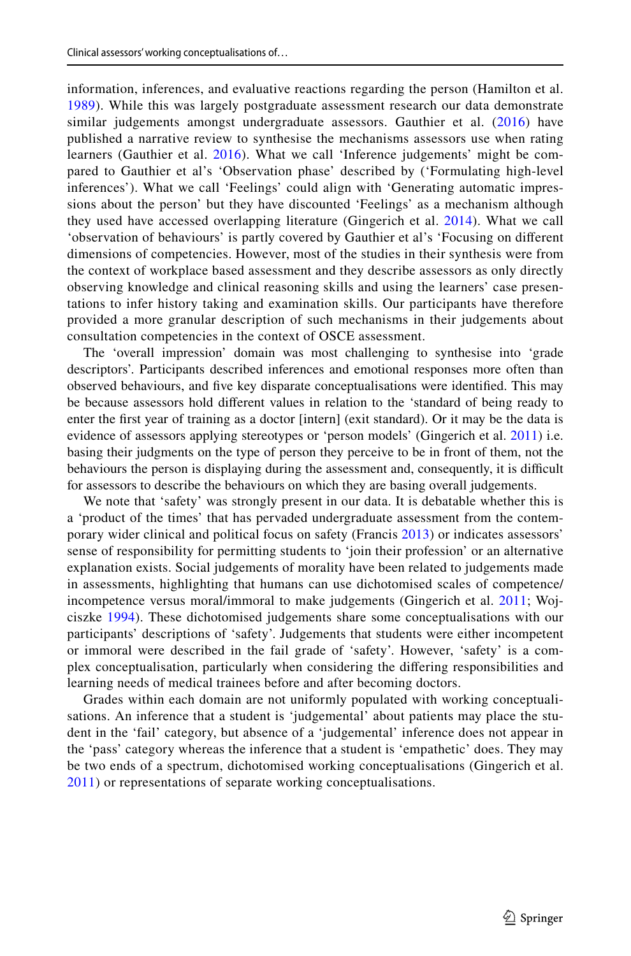information, inferences, and evaluative reactions regarding the person (Hamilton et al. [1989\)](#page-28-22). While this was largely postgraduate assessment research our data demonstrate similar judgements amongst undergraduate assessors. Gauthier et al. [\(2016](#page-28-10)) have published a narrative review to synthesise the mechanisms assessors use when rating learners (Gauthier et al. [2016](#page-28-10)). What we call 'Inference judgements' might be compared to Gauthier et al's 'Observation phase' described by ('Formulating high-level inferences'). What we call 'Feelings' could align with 'Generating automatic impressions about the person' but they have discounted 'Feelings' as a mechanism although they used have accessed overlapping literature (Gingerich et al. [2014](#page-28-9)). What we call 'observation of behaviours' is partly covered by Gauthier et al's 'Focusing on diferent dimensions of competencies. However, most of the studies in their synthesis were from the context of workplace based assessment and they describe assessors as only directly observing knowledge and clinical reasoning skills and using the learners' case presentations to infer history taking and examination skills. Our participants have therefore provided a more granular description of such mechanisms in their judgements about consultation competencies in the context of OSCE assessment.

The 'overall impression' domain was most challenging to synthesise into 'grade descriptors'. Participants described inferences and emotional responses more often than observed behaviours, and fve key disparate conceptualisations were identifed. This may be because assessors hold diferent values in relation to the 'standard of being ready to enter the frst year of training as a doctor [intern] (exit standard). Or it may be the data is evidence of assessors applying stereotypes or 'person models' (Gingerich et al. [2011\)](#page-28-11) i.e. basing their judgments on the type of person they perceive to be in front of them, not the behaviours the person is displaying during the assessment and, consequently, it is difficult for assessors to describe the behaviours on which they are basing overall judgements.

We note that 'safety' was strongly present in our data. It is debatable whether this is a 'product of the times' that has pervaded undergraduate assessment from the contemporary wider clinical and political focus on safety (Francis [2013](#page-28-23)) or indicates assessors' sense of responsibility for permitting students to 'join their profession' or an alternative explanation exists. Social judgements of morality have been related to judgements made in assessments, highlighting that humans can use dichotomised scales of competence/ incompetence versus moral/immoral to make judgements (Gingerich et al. [2011](#page-28-11); Wojciszke [1994](#page-29-19)). These dichotomised judgements share some conceptualisations with our participants' descriptions of 'safety'. Judgements that students were either incompetent or immoral were described in the fail grade of 'safety'. However, 'safety' is a complex conceptualisation, particularly when considering the difering responsibilities and learning needs of medical trainees before and after becoming doctors.

Grades within each domain are not uniformly populated with working conceptualisations. An inference that a student is 'judgemental' about patients may place the student in the 'fail' category, but absence of a 'judgemental' inference does not appear in the 'pass' category whereas the inference that a student is 'empathetic' does. They may be two ends of a spectrum, dichotomised working conceptualisations (Gingerich et al. [2011\)](#page-28-11) or representations of separate working conceptualisations.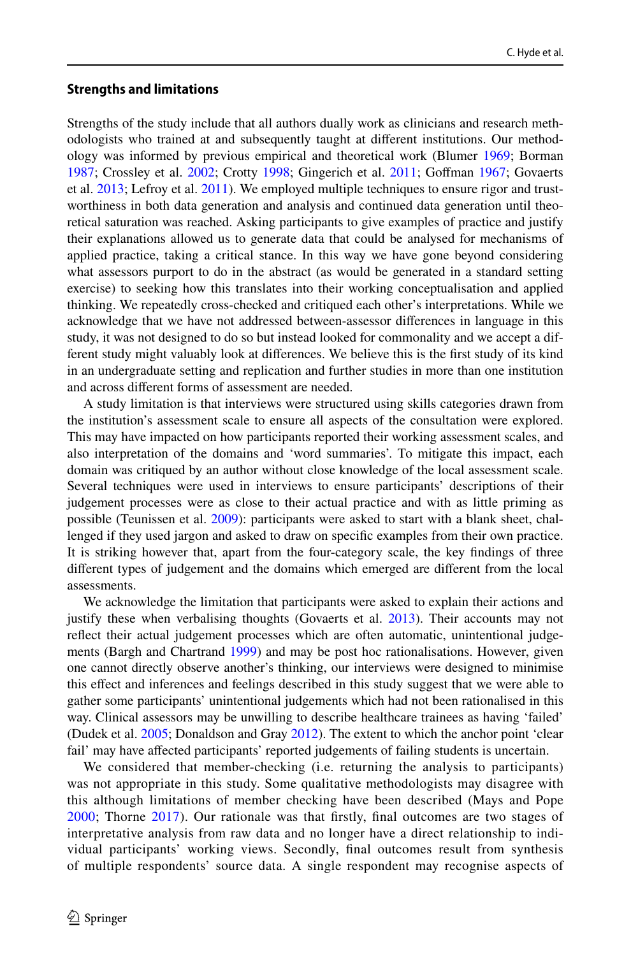#### **Strengths and limitations**

Strengths of the study include that all authors dually work as clinicians and research methodologists who trained at and subsequently taught at diferent institutions. Our methodology was informed by previous empirical and theoretical work (Blumer [1969;](#page-27-8) Borman [1987;](#page-27-7) Crossley et al. [2002;](#page-27-12) Crotty [1998;](#page-27-5) Gingerich et al. [2011;](#page-28-11) Gofman [1967;](#page-28-16) Govaerts et al. [2013;](#page-28-8) Lefroy et al. [2011](#page-28-15)). We employed multiple techniques to ensure rigor and trustworthiness in both data generation and analysis and continued data generation until theoretical saturation was reached. Asking participants to give examples of practice and justify their explanations allowed us to generate data that could be analysed for mechanisms of applied practice, taking a critical stance. In this way we have gone beyond considering what assessors purport to do in the abstract (as would be generated in a standard setting exercise) to seeking how this translates into their working conceptualisation and applied thinking. We repeatedly cross-checked and critiqued each other's interpretations. While we acknowledge that we have not addressed between-assessor diferences in language in this study, it was not designed to do so but instead looked for commonality and we accept a different study might valuably look at diferences. We believe this is the frst study of its kind in an undergraduate setting and replication and further studies in more than one institution and across diferent forms of assessment are needed.

A study limitation is that interviews were structured using skills categories drawn from the institution's assessment scale to ensure all aspects of the consultation were explored. This may have impacted on how participants reported their working assessment scales, and also interpretation of the domains and 'word summaries'. To mitigate this impact, each domain was critiqued by an author without close knowledge of the local assessment scale. Several techniques were used in interviews to ensure participants' descriptions of their judgement processes were as close to their actual practice and with as little priming as possible (Teunissen et al. [2009](#page-29-20)): participants were asked to start with a blank sheet, challenged if they used jargon and asked to draw on specifc examples from their own practice. It is striking however that, apart from the four-category scale, the key fndings of three diferent types of judgement and the domains which emerged are diferent from the local assessments.

We acknowledge the limitation that participants were asked to explain their actions and justify these when verbalising thoughts (Govaerts et al. [2013](#page-28-8)). Their accounts may not refect their actual judgement processes which are often automatic, unintentional judgements (Bargh and Chartrand [1999\)](#page-27-13) and may be post hoc rationalisations. However, given one cannot directly observe another's thinking, our interviews were designed to minimise this efect and inferences and feelings described in this study suggest that we were able to gather some participants' unintentional judgements which had not been rationalised in this way. Clinical assessors may be unwilling to describe healthcare trainees as having 'failed' (Dudek et al. [2005](#page-27-14); Donaldson and Gray [2012\)](#page-27-15). The extent to which the anchor point 'clear fail' may have afected participants' reported judgements of failing students is uncertain.

We considered that member-checking (i.e. returning the analysis to participants) was not appropriate in this study. Some qualitative methodologists may disagree with this although limitations of member checking have been described (Mays and Pope [2000;](#page-28-24) Thorne [2017](#page-29-21)). Our rationale was that frstly, fnal outcomes are two stages of interpretative analysis from raw data and no longer have a direct relationship to individual participants' working views. Secondly, fnal outcomes result from synthesis of multiple respondents' source data. A single respondent may recognise aspects of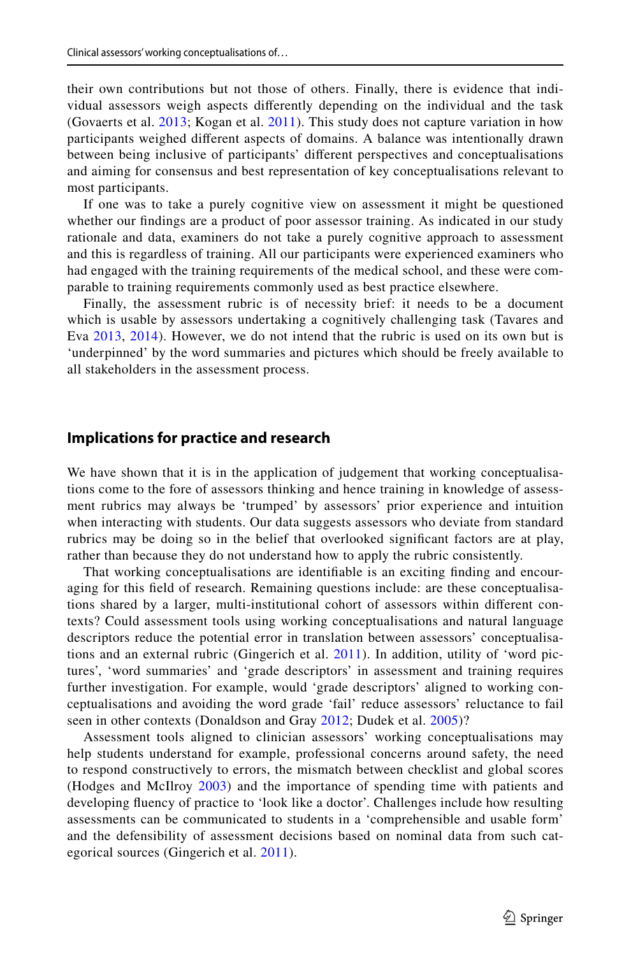their own contributions but not those of others. Finally, there is evidence that individual assessors weigh aspects diferently depending on the individual and the task (Govaerts et al. [2013](#page-28-8); Kogan et al. [2011\)](#page-28-21). This study does not capture variation in how participants weighed diferent aspects of domains. A balance was intentionally drawn between being inclusive of participants' diferent perspectives and conceptualisations and aiming for consensus and best representation of key conceptualisations relevant to most participants.

If one was to take a purely cognitive view on assessment it might be questioned whether our fndings are a product of poor assessor training. As indicated in our study rationale and data, examiners do not take a purely cognitive approach to assessment and this is regardless of training. All our participants were experienced examiners who had engaged with the training requirements of the medical school, and these were comparable to training requirements commonly used as best practice elsewhere.

Finally, the assessment rubric is of necessity brief: it needs to be a document which is usable by assessors undertaking a cognitively challenging task (Tavares and Eva [2013,](#page-29-22) [2014](#page-29-23)). However, we do not intend that the rubric is used on its own but is 'underpinned' by the word summaries and pictures which should be freely available to all stakeholders in the assessment process.

#### <span id="page-18-0"></span>**Implications for practice and research**

We have shown that it is in the application of judgement that working conceptualisations come to the fore of assessors thinking and hence training in knowledge of assessment rubrics may always be 'trumped' by assessors' prior experience and intuition when interacting with students. Our data suggests assessors who deviate from standard rubrics may be doing so in the belief that overlooked signifcant factors are at play, rather than because they do not understand how to apply the rubric consistently.

That working conceptualisations are identifable is an exciting fnding and encouraging for this feld of research. Remaining questions include: are these conceptualisations shared by a larger, multi-institutional cohort of assessors within diferent contexts? Could assessment tools using working conceptualisations and natural language descriptors reduce the potential error in translation between assessors' conceptualisations and an external rubric (Gingerich et al. [2011](#page-28-11)). In addition, utility of 'word pictures', 'word summaries' and 'grade descriptors' in assessment and training requires further investigation. For example, would 'grade descriptors' aligned to working conceptualisations and avoiding the word grade 'fail' reduce assessors' reluctance to fail seen in other contexts (Donaldson and Gray [2012](#page-27-15); Dudek et al. [2005](#page-27-14))?

Assessment tools aligned to clinician assessors' working conceptualisations may help students understand for example, professional concerns around safety, the need to respond constructively to errors, the mismatch between checklist and global scores (Hodges and McIlroy [2003](#page-28-25)) and the importance of spending time with patients and developing fuency of practice to 'look like a doctor'. Challenges include how resulting assessments can be communicated to students in a 'comprehensible and usable form' and the defensibility of assessment decisions based on nominal data from such categorical sources (Gingerich et al. [2011](#page-28-11)).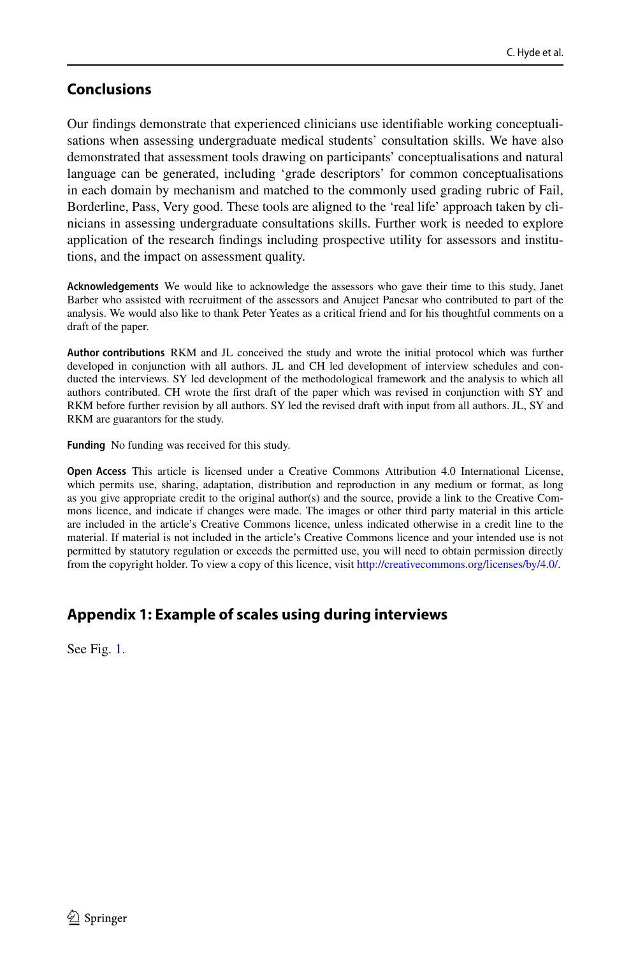# <span id="page-19-0"></span>**Conclusions**

Our fndings demonstrate that experienced clinicians use identifable working conceptualisations when assessing undergraduate medical students' consultation skills. We have also demonstrated that assessment tools drawing on participants' conceptualisations and natural language can be generated, including 'grade descriptors' for common conceptualisations in each domain by mechanism and matched to the commonly used grading rubric of Fail, Borderline, Pass, Very good. These tools are aligned to the 'real life' approach taken by clinicians in assessing undergraduate consultations skills. Further work is needed to explore application of the research fndings including prospective utility for assessors and institutions, and the impact on assessment quality.

**Acknowledgements** We would like to acknowledge the assessors who gave their time to this study, Janet Barber who assisted with recruitment of the assessors and Anujeet Panesar who contributed to part of the analysis. We would also like to thank Peter Yeates as a critical friend and for his thoughtful comments on a draft of the paper.

**Author contributions** RKM and JL conceived the study and wrote the initial protocol which was further developed in conjunction with all authors. JL and CH led development of interview schedules and conducted the interviews. SY led development of the methodological framework and the analysis to which all authors contributed. CH wrote the frst draft of the paper which was revised in conjunction with SY and RKM before further revision by all authors. SY led the revised draft with input from all authors. JL, SY and RKM are guarantors for the study.

**Funding** No funding was received for this study.

**Open Access** This article is licensed under a Creative Commons Attribution 4.0 International License, which permits use, sharing, adaptation, distribution and reproduction in any medium or format, as long as you give appropriate credit to the original author(s) and the source, provide a link to the Creative Commons licence, and indicate if changes were made. The images or other third party material in this article are included in the article's Creative Commons licence, unless indicated otherwise in a credit line to the material. If material is not included in the article's Creative Commons licence and your intended use is not permitted by statutory regulation or exceeds the permitted use, you will need to obtain permission directly from the copyright holder. To view a copy of this licence, visit [http://creativecommons.org/licenses/by/4.0/.](http://creativecommons.org/licenses/by/4.0/)

# <span id="page-19-1"></span>**Appendix 1: Example of scales using during interviews**

See Fig. [1.](#page-20-0)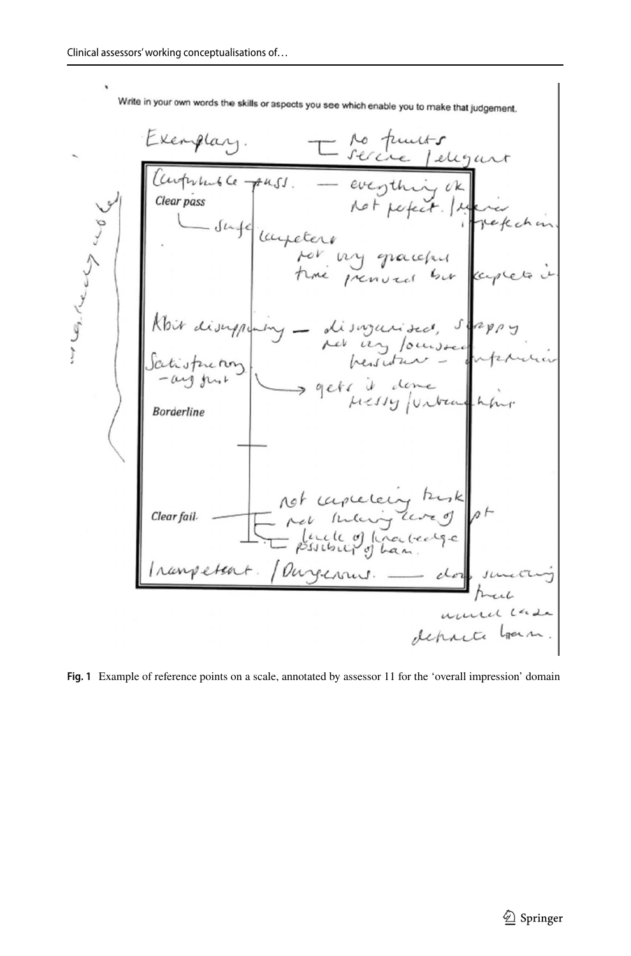۰

| Exemplay.<br>I to functs<br>I service pelegant<br>Computer fuss. - everything of<br>Clear pass<br>not pefect. Increase in |
|---------------------------------------------------------------------------------------------------------------------------|
| Guffwyeters<br>por any graceful capieta in<br>Abir disuggently<br>disagurised, sappy                                      |
| besident -<br>Satisfactory<br>a gette it done<br>pressy funboard white<br><b>Borderline</b>                               |
| not capacity kisk<br>- not knowing love of pt<br>Clear fail.<br>E psychic of handedge                                     |
| Iranpetent. Pargermes. _ dos unconj<br>Much<br>unnel Lada<br>departe han.                                                 |

Write in your own words the skills or aspects you see which enable you to make that judgement.

<span id="page-20-0"></span>**Fig. 1** Example of reference points on a scale, annotated by assessor 11 for the 'overall impression' domain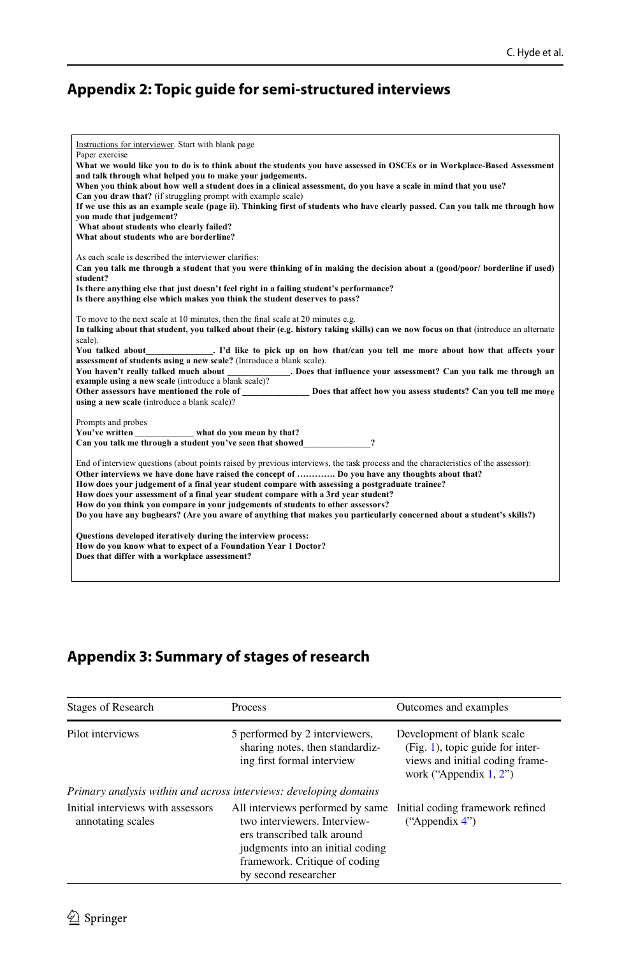# <span id="page-21-0"></span>**Appendix 2: Topic guide for semi‑structured interviews**

| Instructions for interviewer. Start with blank page<br>Paper exercise<br>What we would like you to do is to think about the students you have assessed in OSCEs or in Workplace-Based Assessment<br>and talk through what helped you to make your judgements.<br>When you think about how well a student does in a clinical assessment, do you have a scale in mind that you use?<br>Can you draw that? (if struggling prompt with example scale)<br>If we use this as an example scale (page ii). Thinking first of students who have clearly passed. Can you talk me through how<br>you made that judgement?<br>What about students who clearly failed?<br>What about students who are borderline?                                                                                                                                                                                                                                                                                 |
|--------------------------------------------------------------------------------------------------------------------------------------------------------------------------------------------------------------------------------------------------------------------------------------------------------------------------------------------------------------------------------------------------------------------------------------------------------------------------------------------------------------------------------------------------------------------------------------------------------------------------------------------------------------------------------------------------------------------------------------------------------------------------------------------------------------------------------------------------------------------------------------------------------------------------------------------------------------------------------------|
| As each scale is described the interviewer clarifies:<br>Can you talk me through a student that you were thinking of in making the decision about a (good/poor/borderline if used)<br>student?<br>Is there anything else that just doesn't feel right in a failing student's performance?<br>Is there anything else which makes you think the student deserves to pass?                                                                                                                                                                                                                                                                                                                                                                                                                                                                                                                                                                                                              |
| To move to the next scale at 10 minutes, then the final scale at 20 minutes e.g.<br>In talking about that student, you talked about their (e.g. history taking skills) can we now focus on that (introduce an alternate<br>scale).<br>You talked about________________. I'd like to pick up on how that/can you tell me more about how that affects your<br>assessment of students using a new scale? (Introduce a blank scale).<br>You haven't really talked much about _____________. Does that influence your assessment? Can you talk me through an<br>example using a new scale (introduce a blank scale)?<br>Other assessors have mentioned the role of Does that affect how you assess students? Can you tell me more<br>using a new scale (introduce a blank scale)?                                                                                                                                                                                                         |
| Prompts and probes<br>You've written what do you mean by that?<br>Can you talk me through a student you've seen that showed<br>$\overline{\mathbf{?}}$<br>End of interview questions (about points raised by previous interviews, the task process and the characteristics of the assessor):<br>Other interviews we have done have raised the concept of  Do you have any thoughts about that?<br>How does your judgement of a final year student compare with assessing a postgraduate trainee?<br>How does your assessment of a final year student compare with a 3rd year student?<br>How do you think you compare in your judgements of students to other assessors?<br>Do you have any bugbears? (Are you aware of anything that makes you particularly concerned about a student's skills?)<br>Questions developed iteratively during the interview process:<br>How do you know what to expect of a Foundation Year 1 Doctor?<br>Does that differ with a workplace assessment? |

# **Appendix 3: Summary of stages of research**

| Stages of Research                                                | <b>Process</b>                                                                                                                                                                               | Outcomes and examples                                                                                                             |
|-------------------------------------------------------------------|----------------------------------------------------------------------------------------------------------------------------------------------------------------------------------------------|-----------------------------------------------------------------------------------------------------------------------------------|
| Pilot interviews                                                  | 5 performed by 2 interviewers,<br>sharing notes, then standardiz-<br>ing first formal interview                                                                                              | Development of blank scale<br>$(Fig. 1)$ , topic guide for inter-<br>views and initial coding frame-<br>work ("Appendix $1, 2$ ") |
| Primary analysis within and across interviews: developing domains |                                                                                                                                                                                              |                                                                                                                                   |
| Initial interviews with assessors<br>annotating scales            | All interviews performed by same<br>two interviewers. Interview-<br>ers transcribed talk around<br>judgments into an initial coding<br>framework. Critique of coding<br>by second researcher | Initial coding framework refined<br>("Appendix $4$ ")                                                                             |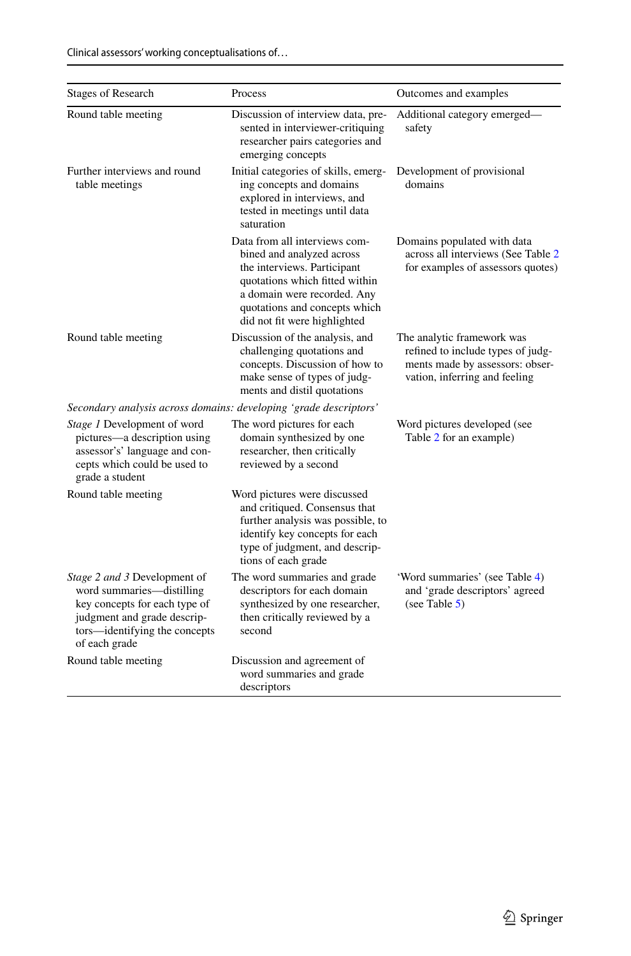| <b>Stages of Research</b>                                                                                                                                                   | Process                                                                                                                                                                                                                     | Outcomes and examples                                                                                                               |
|-----------------------------------------------------------------------------------------------------------------------------------------------------------------------------|-----------------------------------------------------------------------------------------------------------------------------------------------------------------------------------------------------------------------------|-------------------------------------------------------------------------------------------------------------------------------------|
| Round table meeting                                                                                                                                                         | Discussion of interview data, pre-<br>sented in interviewer-critiquing<br>researcher pairs categories and<br>emerging concepts                                                                                              | Additional category emerged—<br>safety                                                                                              |
| Further interviews and round<br>table meetings                                                                                                                              | Initial categories of skills, emerg-<br>ing concepts and domains<br>explored in interviews, and<br>tested in meetings until data<br>saturation                                                                              | Development of provisional<br>domains                                                                                               |
|                                                                                                                                                                             | Data from all interviews com-<br>bined and analyzed across<br>the interviews. Participant<br>quotations which fitted within<br>a domain were recorded. Any<br>quotations and concepts which<br>did not fit were highlighted | Domains populated with data<br>across all interviews (See Table 2<br>for examples of assessors quotes)                              |
| Round table meeting                                                                                                                                                         | Discussion of the analysis, and<br>challenging quotations and<br>concepts. Discussion of how to<br>make sense of types of judg-<br>ments and distil quotations                                                              | The analytic framework was<br>refined to include types of judg-<br>ments made by assessors: obser-<br>vation, inferring and feeling |
| Secondary analysis across domains: developing 'grade descriptors'                                                                                                           |                                                                                                                                                                                                                             |                                                                                                                                     |
| Stage 1 Development of word<br>pictures-a description using<br>assessor's' language and con-<br>cepts which could be used to<br>grade a student                             | The word pictures for each<br>domain synthesized by one<br>researcher, then critically<br>reviewed by a second                                                                                                              | Word pictures developed (see<br>Table 2 for an example)                                                                             |
| Round table meeting                                                                                                                                                         | Word pictures were discussed<br>and critiqued. Consensus that<br>further analysis was possible, to<br>identify key concepts for each<br>type of judgment, and descrip-<br>tions of each grade                               |                                                                                                                                     |
| Stage 2 and 3 Development of<br>word summaries-distilling<br>key concepts for each type of<br>judgment and grade descrip-<br>tors-identifying the concepts<br>of each grade | The word summaries and grade<br>descriptors for each domain<br>synthesized by one researcher,<br>then critically reviewed by a<br>second                                                                                    | 'Word summaries' (see Table 4)<br>and 'grade descriptors' agreed<br>(see Table $5$ )                                                |
| Round table meeting                                                                                                                                                         | Discussion and agreement of<br>word summaries and grade<br>descriptors                                                                                                                                                      |                                                                                                                                     |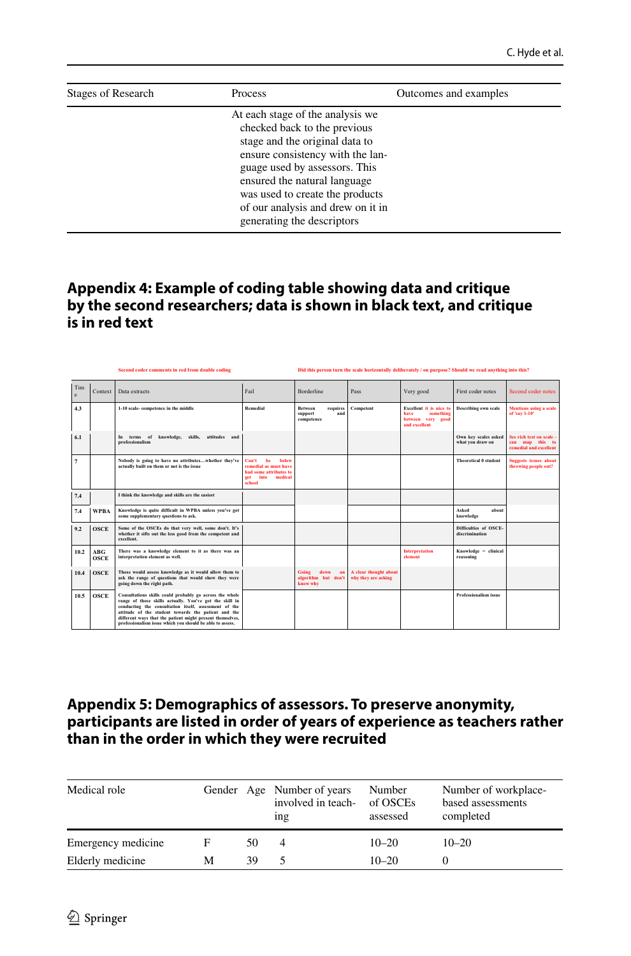| Stages of Research | <b>Process</b>                                                                                                                                                                                                                                                                                                | Outcomes and examples |
|--------------------|---------------------------------------------------------------------------------------------------------------------------------------------------------------------------------------------------------------------------------------------------------------------------------------------------------------|-----------------------|
|                    | At each stage of the analysis we<br>checked back to the previous<br>stage and the original data to<br>ensure consistency with the lan-<br>guage used by assessors. This<br>ensured the natural language<br>was used to create the products<br>of our analysis and drew on it in<br>generating the descriptors |                       |

# <span id="page-23-0"></span>**Appendix 4: Example of coding table showing data and critique by the second researchers; data is shown in black text, and critique is in red text**

|                     |                    | Second coder comments in red from double coding                                                                                                                                                                                                                                                                                                              |                                                                                                             |                                                                    |                                              | Did this person turn the scale horizontally deliberately / on purpose? Should we read anything into this? |                                          |                                                                       |
|---------------------|--------------------|--------------------------------------------------------------------------------------------------------------------------------------------------------------------------------------------------------------------------------------------------------------------------------------------------------------------------------------------------------------|-------------------------------------------------------------------------------------------------------------|--------------------------------------------------------------------|----------------------------------------------|-----------------------------------------------------------------------------------------------------------|------------------------------------------|-----------------------------------------------------------------------|
| Tim<br>$\mathbf{c}$ | Context            | Data extracts                                                                                                                                                                                                                                                                                                                                                | Fail                                                                                                        | Borderline                                                         | Pass                                         | Very good                                                                                                 | First coder notes                        | Second coder notes                                                    |
| 4.3                 |                    | 1-10 scale- competence in the middle                                                                                                                                                                                                                                                                                                                         | Remedial                                                                                                    | <b>Between</b><br>requires<br>and<br>support<br>competence         | Competent                                    | Excellent it is nice to<br>have<br>something<br>between very good<br>and excellent                        | Describing own scale                     | Mentions using a scale<br>of 'say 1-10'                               |
| 6.1                 |                    | of<br>knowledge.<br>skills.<br>attitudes<br>In<br>terms<br>and<br>professionalism                                                                                                                                                                                                                                                                            |                                                                                                             |                                                                    |                                              |                                                                                                           | Own key scales asked<br>what you draw on | See rich text on scale -<br>can map this to<br>remedial and excellent |
| $\overline{7}$      |                    | Nobody is going to have no attributeswhether they've<br>actually built on them or not is the issue                                                                                                                                                                                                                                                           | below<br>Can't<br>be<br>remedial as must have<br>had some attributes to<br>into<br>medical<br>eet<br>school |                                                                    |                                              |                                                                                                           | <b>Theoretical 0 student</b>             | <b>Suggests issues about</b><br>throwing people out?                  |
| 7.4                 |                    | I think the knowledge and skills are the easiest                                                                                                                                                                                                                                                                                                             |                                                                                                             |                                                                    |                                              |                                                                                                           |                                          |                                                                       |
| 7.4                 | <b>WPRA</b>        | Knowledge is quite difficult in WPBA unless you've got<br>some supplementary questions to ask.                                                                                                                                                                                                                                                               |                                                                                                             |                                                                    |                                              |                                                                                                           | Asked<br>about<br>knowledge              |                                                                       |
| 9.2                 | <b>OSCE</b>        | Some of the OSCEs do that very well, some don't. It's<br>whether it sifts out the less good from the competent and<br>excellent.                                                                                                                                                                                                                             |                                                                                                             |                                                                    |                                              |                                                                                                           | Difficulties of OSCE-<br>discrimination  |                                                                       |
| 10.2                | ABG<br><b>OSCE</b> | There was a knowledge element to it as there was an<br>interpretation element as well.                                                                                                                                                                                                                                                                       |                                                                                                             |                                                                    |                                              | Interpretation<br>element                                                                                 | Knowledge - clinical<br>reasoning        |                                                                       |
| 10.4                | <b>OSCE</b>        | Those would assess knowledge as it would allow them to<br>ask the range of questions that would show they were<br>going down the right path.                                                                                                                                                                                                                 |                                                                                                             | down<br>Going<br>a <sub>n</sub><br>algorithm but don't<br>know why | A clear thought about<br>why they are asking |                                                                                                           |                                          |                                                                       |
| 10.5                | <b>OSCE</b>        | Consultations skills could probably go across the whole<br>range of those skills actually. You've got the skill in<br>conducting the consultation itself, assessment of the<br>attitude of the student towards the patient and the<br>different ways that the patient might present themselves.<br>professionalism issue which you should be able to assess. |                                                                                                             |                                                                    |                                              |                                                                                                           | Professionalism issue                    |                                                                       |

# **Appendix 5: Demographics of assessors. To preserve anonymity, participants are listed in order of years of experience as teachers rather than in the order in which they were recruited**

| Medical role       |   |    | Gender Age Number of years<br>involved in teach-<br>1ng | Number<br>of OSCEs<br>assessed | Number of workplace-<br>based assessments<br>completed |
|--------------------|---|----|---------------------------------------------------------|--------------------------------|--------------------------------------------------------|
| Emergency medicine | F | 50 | 4                                                       | $10 - 20$                      | $10 - 20$                                              |
| Elderly medicine   | м | 39 |                                                         | $10 - 20$                      |                                                        |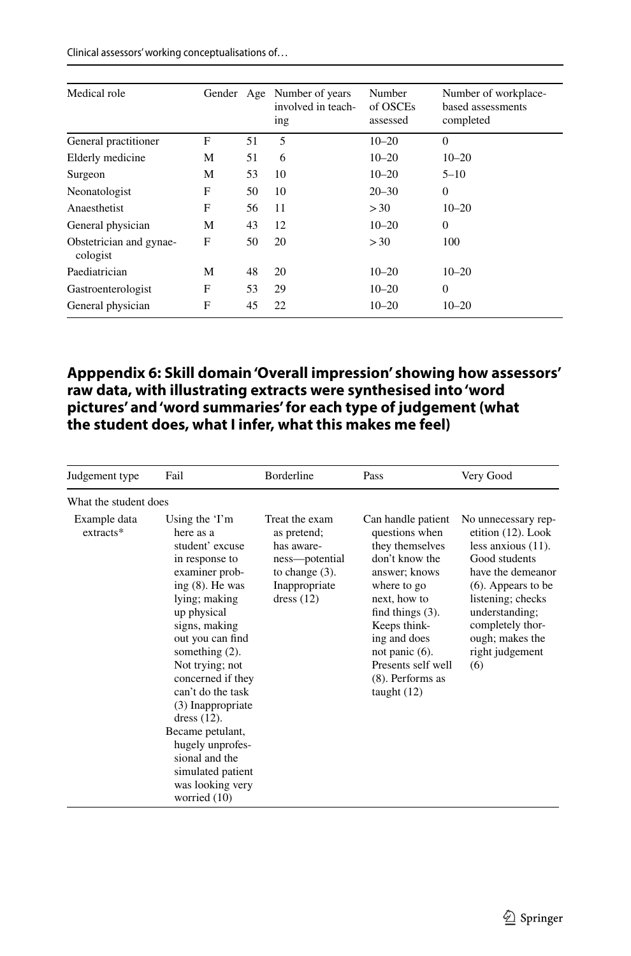Clinical assessors' working conceptualisations of…

| Medical role                        | Gender Age |    | Number of years<br>involved in teach-<br>ing | Number<br>of OSCEs<br>assessed | Number of workplace-<br>based assessments<br>completed |
|-------------------------------------|------------|----|----------------------------------------------|--------------------------------|--------------------------------------------------------|
| General practitioner                | F          | 51 | 5                                            | $10 - 20$                      | $\Omega$                                               |
| Elderly medicine                    | М          | 51 | 6                                            | $10 - 20$                      | $10 - 20$                                              |
| Surgeon                             | М          | 53 | 10                                           | $10 - 20$                      | $5 - 10$                                               |
| Neonatologist                       | F          | 50 | 10                                           | $20 - 30$                      | $\mathbf{0}$                                           |
| Anaesthetist                        | F          | 56 | 11                                           | > 30                           | $10 - 20$                                              |
| General physician                   | M          | 43 | 12                                           | $10 - 20$                      | $\Omega$                                               |
| Obstetrician and gynae-<br>cologist | F          | 50 | 20                                           | > 30                           | 100                                                    |
| Paediatrician                       | М          | 48 | 20                                           | $10 - 20$                      | $10 - 20$                                              |
| Gastroenterologist                  | F          | 53 | 29                                           | $10 - 20$                      | $\Omega$                                               |
| General physician                   | F          | 45 | 22                                           | $10 - 20$                      | $10 - 20$                                              |

## **Apppendix 6: Skill domain 'Overall impression' showing how assessors' raw data, with illustrating extracts were synthesised into 'word pictures' and 'word summaries' for each type of judgement (what the student does, what I infer, what this makes me feel)**

| Judgement type            | Fail                                                                                                                                                                                                                                                                                                                                                                                                                      | Borderline                                                                                                          | Pass                                                                                                                                                                                                                                                             | Very Good                                                                                                                                                                                                                                    |
|---------------------------|---------------------------------------------------------------------------------------------------------------------------------------------------------------------------------------------------------------------------------------------------------------------------------------------------------------------------------------------------------------------------------------------------------------------------|---------------------------------------------------------------------------------------------------------------------|------------------------------------------------------------------------------------------------------------------------------------------------------------------------------------------------------------------------------------------------------------------|----------------------------------------------------------------------------------------------------------------------------------------------------------------------------------------------------------------------------------------------|
| What the student does     |                                                                                                                                                                                                                                                                                                                                                                                                                           |                                                                                                                     |                                                                                                                                                                                                                                                                  |                                                                                                                                                                                                                                              |
| Example data<br>extracts* | Using the $Tm$<br>here as a<br>student' excuse<br>in response to<br>examiner prob-<br>ing $(8)$ . He was<br>lying; making<br>up physical<br>signs, making<br>out you can find<br>something $(2)$ .<br>Not trying; not<br>concerned if they<br>can't do the task<br>(3) Inappropriate<br>dress $(12)$ .<br>Became petulant,<br>hugely unprofes-<br>sional and the<br>simulated patient<br>was looking very<br>worried (10) | Treat the exam<br>as pretend;<br>has aware-<br>ness—potential<br>to change $(3)$ .<br>Inappropriate<br>dress $(12)$ | Can handle patient<br>questions when<br>they themselves<br>don't know the<br>answer; knows<br>where to go<br>next, how to<br>find things $(3)$ .<br>Keeps think-<br>ing and does<br>not panic $(6)$ .<br>Presents self well<br>(8). Performs as<br>taught $(12)$ | No unnecessary rep-<br>etition $(12)$ . Look<br>less anxious $(11)$ .<br>Good students<br>have the demeanor<br>$(6)$ . Appears to be<br>listening; checks<br>understanding;<br>completely thor-<br>ough; makes the<br>right judgement<br>(6) |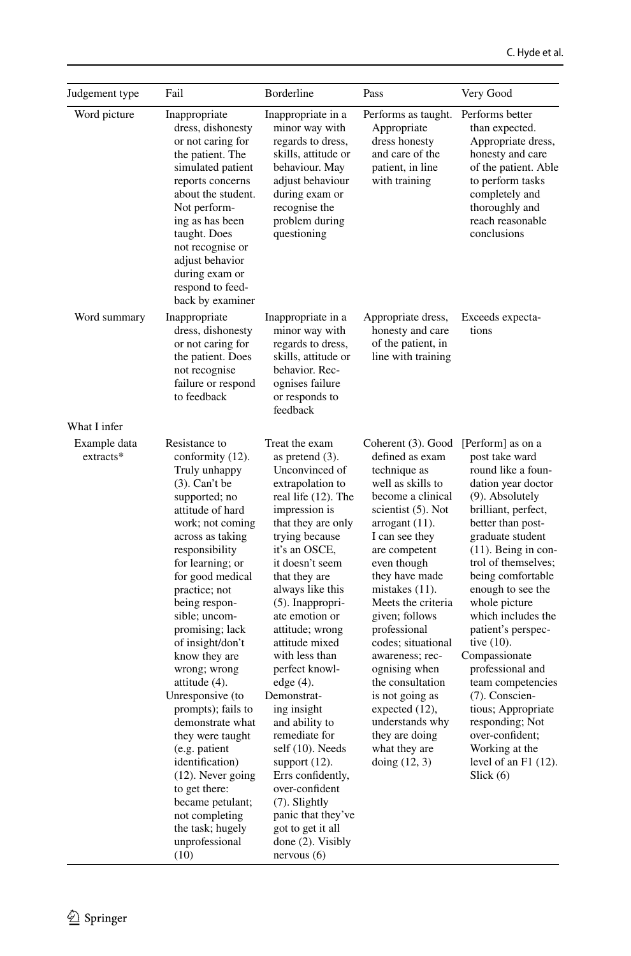| Judgement type            | Fail                                                                                                                                                                                                                                                                                                                                                                                                                                                                                                                                                                                                      | Borderline                                                                                                                                                                                                                                                                                                                                                                                                                                                                                                                                                                                                              | Pass                                                                                                                                                                                                                                                                                                                                                                                                                                                                                       | Very Good                                                                                                                                                                                                                                                                                                                                                                                                                                                                                                                                      |
|---------------------------|-----------------------------------------------------------------------------------------------------------------------------------------------------------------------------------------------------------------------------------------------------------------------------------------------------------------------------------------------------------------------------------------------------------------------------------------------------------------------------------------------------------------------------------------------------------------------------------------------------------|-------------------------------------------------------------------------------------------------------------------------------------------------------------------------------------------------------------------------------------------------------------------------------------------------------------------------------------------------------------------------------------------------------------------------------------------------------------------------------------------------------------------------------------------------------------------------------------------------------------------------|--------------------------------------------------------------------------------------------------------------------------------------------------------------------------------------------------------------------------------------------------------------------------------------------------------------------------------------------------------------------------------------------------------------------------------------------------------------------------------------------|------------------------------------------------------------------------------------------------------------------------------------------------------------------------------------------------------------------------------------------------------------------------------------------------------------------------------------------------------------------------------------------------------------------------------------------------------------------------------------------------------------------------------------------------|
| Word picture              | Inappropriate<br>dress, dishonesty<br>or not caring for<br>the patient. The<br>simulated patient<br>reports concerns<br>about the student.<br>Not perform-<br>ing as has been<br>taught. Does<br>not recognise or<br>adjust behavior<br>during exam or<br>respond to feed-<br>back by examiner                                                                                                                                                                                                                                                                                                            | Inappropriate in a<br>minor way with<br>regards to dress,<br>skills, attitude or<br>behaviour. May<br>adjust behaviour<br>during exam or<br>recognise the<br>problem during<br>questioning                                                                                                                                                                                                                                                                                                                                                                                                                              | Performs as taught.<br>Appropriate<br>dress honesty<br>and care of the<br>patient, in line<br>with training                                                                                                                                                                                                                                                                                                                                                                                | Performs better<br>than expected.<br>Appropriate dress,<br>honesty and care<br>of the patient. Able<br>to perform tasks<br>completely and<br>thoroughly and<br>reach reasonable<br>conclusions                                                                                                                                                                                                                                                                                                                                                 |
| Word summary              | Inappropriate<br>dress, dishonesty<br>or not caring for<br>the patient. Does<br>not recognise<br>failure or respond<br>to feedback                                                                                                                                                                                                                                                                                                                                                                                                                                                                        | Inappropriate in a<br>minor way with<br>regards to dress,<br>skills, attitude or<br>behavior. Rec-<br>ognises failure<br>or responds to<br>feedback                                                                                                                                                                                                                                                                                                                                                                                                                                                                     | Appropriate dress,<br>honesty and care<br>of the patient, in<br>line with training                                                                                                                                                                                                                                                                                                                                                                                                         | Exceeds expecta-<br>tions                                                                                                                                                                                                                                                                                                                                                                                                                                                                                                                      |
| What I infer              |                                                                                                                                                                                                                                                                                                                                                                                                                                                                                                                                                                                                           |                                                                                                                                                                                                                                                                                                                                                                                                                                                                                                                                                                                                                         |                                                                                                                                                                                                                                                                                                                                                                                                                                                                                            |                                                                                                                                                                                                                                                                                                                                                                                                                                                                                                                                                |
| Example data<br>extracts* | Resistance to<br>conformity (12).<br>Truly unhappy<br>$(3)$ . Can't be<br>supported; no<br>attitude of hard<br>work; not coming<br>across as taking<br>responsibility<br>for learning; or<br>for good medical<br>practice; not<br>being respon-<br>sible; uncom-<br>promising; lack<br>of insight/don't<br>know they are<br>wrong; wrong<br>attitude (4).<br>Unresponsive (to<br>prompts); fails to<br>demonstrate what<br>they were taught<br>(e.g. patient<br>identification)<br>(12). Never going<br>to get there:<br>became petulant;<br>not completing<br>the task; hugely<br>unprofessional<br>(10) | Treat the exam<br>as pretend $(3)$ .<br>Unconvinced of<br>extrapolation to<br>real life (12). The<br>impression is<br>that they are only<br>trying because<br>it's an OSCE,<br>it doesn't seem<br>that they are<br>always like this<br>$(5)$ . Inappropri-<br>ate emotion or<br>attitude; wrong<br>attitude mixed<br>with less than<br>perfect knowl-<br>$edge (4)$ .<br>Demonstrat-<br>ing insight<br>and ability to<br>remediate for<br>self $(10)$ . Needs<br>support $(12)$ .<br>Errs confidently,<br>over-confident<br>(7). Slightly<br>panic that they've<br>got to get it all<br>done (2). Visibly<br>nervous(6) | Coherent (3). Good<br>defined as exam<br>technique as<br>well as skills to<br>become a clinical<br>scientist $(5)$ . Not<br>$\arrosant(11)$ .<br>I can see they<br>are competent<br>even though<br>they have made<br>mistakes $(11)$ .<br>Meets the criteria<br>given; follows<br>professional<br>codes: situational<br>awareness; rec-<br>ognising when<br>the consultation<br>is not going as<br>expected (12),<br>understands why<br>they are doing<br>what they are<br>doing $(12, 3)$ | [Perform] as on a<br>post take ward<br>round like a foun-<br>dation year doctor<br>(9). Absolutely<br>brilliant, perfect,<br>better than post-<br>graduate student<br>$(11)$ . Being in con-<br>trol of themselves;<br>being comfortable<br>enough to see the<br>whole picture<br>which includes the<br>patient's perspec-<br>tive $(10)$ .<br>Compassionate<br>professional and<br>team competencies<br>(7). Conscien-<br>tious; Appropriate<br>responding; Not<br>over-confident;<br>Working at the<br>level of an $F1(12)$ .<br>Slick $(6)$ |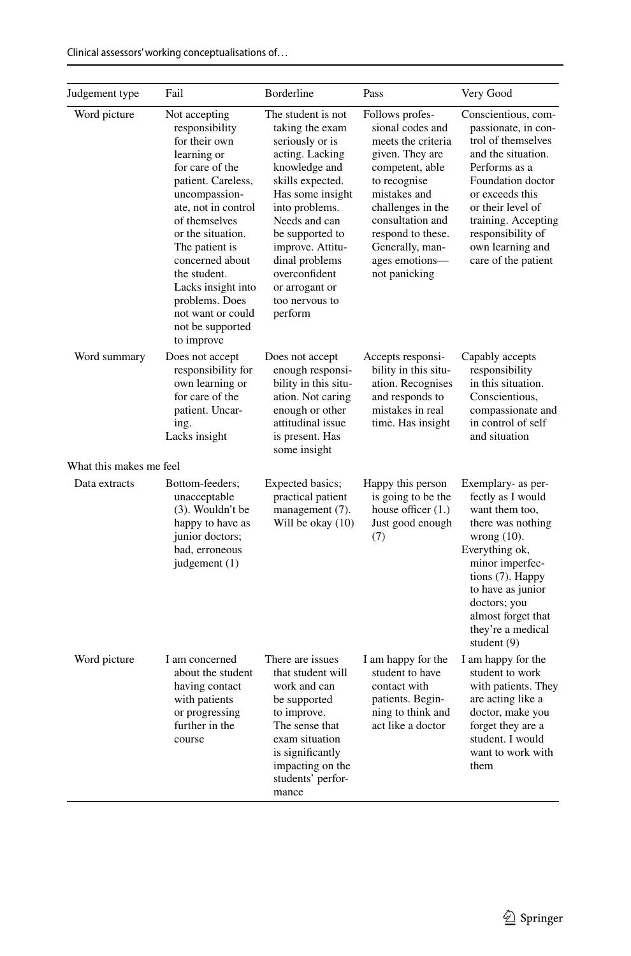| Judgement type          | Fail                                                                                                                                                                                                                                                                                                                                       | Borderline                                                                                                                                                                                                                                                                                       | Pass                                                                                                                                                                                                                                                | Very Good                                                                                                                                                                                                                                                   |
|-------------------------|--------------------------------------------------------------------------------------------------------------------------------------------------------------------------------------------------------------------------------------------------------------------------------------------------------------------------------------------|--------------------------------------------------------------------------------------------------------------------------------------------------------------------------------------------------------------------------------------------------------------------------------------------------|-----------------------------------------------------------------------------------------------------------------------------------------------------------------------------------------------------------------------------------------------------|-------------------------------------------------------------------------------------------------------------------------------------------------------------------------------------------------------------------------------------------------------------|
| Word picture            | Not accepting<br>responsibility<br>for their own<br>learning or<br>for care of the<br>patient. Careless,<br>uncompassion-<br>ate, not in control<br>of themselves<br>or the situation.<br>The patient is<br>concerned about<br>the student.<br>Lacks insight into<br>problems. Does<br>not want or could<br>not be supported<br>to improve | The student is not<br>taking the exam<br>seriously or is<br>acting. Lacking<br>knowledge and<br>skills expected.<br>Has some insight<br>into problems.<br>Needs and can<br>be supported to<br>improve. Attitu-<br>dinal problems<br>overconfident<br>or arrogant or<br>too nervous to<br>perform | Follows profes-<br>sional codes and<br>meets the criteria<br>given. They are<br>competent, able<br>to recognise<br>mistakes and<br>challenges in the<br>consultation and<br>respond to these.<br>Generally, man-<br>ages emotions-<br>not panicking | Conscientious, com-<br>passionate, in con-<br>trol of themselves<br>and the situation.<br>Performs as a<br>Foundation doctor<br>or exceeds this<br>or their level of<br>training. Accepting<br>responsibility of<br>own learning and<br>care of the patient |
| Word summary            | Does not accept<br>responsibility for<br>own learning or<br>for care of the<br>patient. Uncar-<br>ing.<br>Lacks insight                                                                                                                                                                                                                    | Does not accept<br>enough responsi-<br>bility in this situ-<br>ation. Not caring<br>enough or other<br>attitudinal issue<br>is present. Has<br>some insight                                                                                                                                      | Accepts responsi-<br>bility in this situ-<br>ation. Recognises<br>and responds to<br>mistakes in real<br>time. Has insight                                                                                                                          | Capably accepts<br>responsibility<br>in this situation.<br>Conscientious.<br>compassionate and<br>in control of self<br>and situation                                                                                                                       |
| What this makes me feel |                                                                                                                                                                                                                                                                                                                                            |                                                                                                                                                                                                                                                                                                  |                                                                                                                                                                                                                                                     |                                                                                                                                                                                                                                                             |
| Data extracts           | Bottom-feeders;<br>unacceptable<br>(3). Wouldn't be<br>happy to have as<br>junior doctors;<br>bad, erroneous<br>judgement (1)                                                                                                                                                                                                              | Expected basics;<br>practical patient<br>management (7).<br>Will be okay (10)                                                                                                                                                                                                                    | Happy this person<br>is going to be the<br>house officer $(1.)$<br>Just good enough<br>(7)                                                                                                                                                          | Exemplary- as per-<br>fectly as I would<br>want them too,<br>there was nothing<br>wrong $(10)$ .<br>Everything ok,<br>minor imperfec-<br>tions (7). Happy<br>to have as junior<br>doctors; you<br>almost forget that<br>they're a medical<br>student $(9)$  |
| Word picture            | I am concerned<br>about the student<br>having contact<br>with patients<br>or progressing<br>further in the<br>course                                                                                                                                                                                                                       | There are issues<br>that student will<br>work and can<br>be supported<br>to improve.<br>The sense that<br>exam situation<br>is significantly<br>impacting on the<br>students' perfor-<br>mance                                                                                                   | I am happy for the<br>student to have<br>contact with<br>patients. Begin-<br>ning to think and<br>act like a doctor                                                                                                                                 | I am happy for the<br>student to work<br>with patients. They<br>are acting like a<br>doctor, make you<br>forget they are a<br>student. I would<br>want to work with<br>them                                                                                 |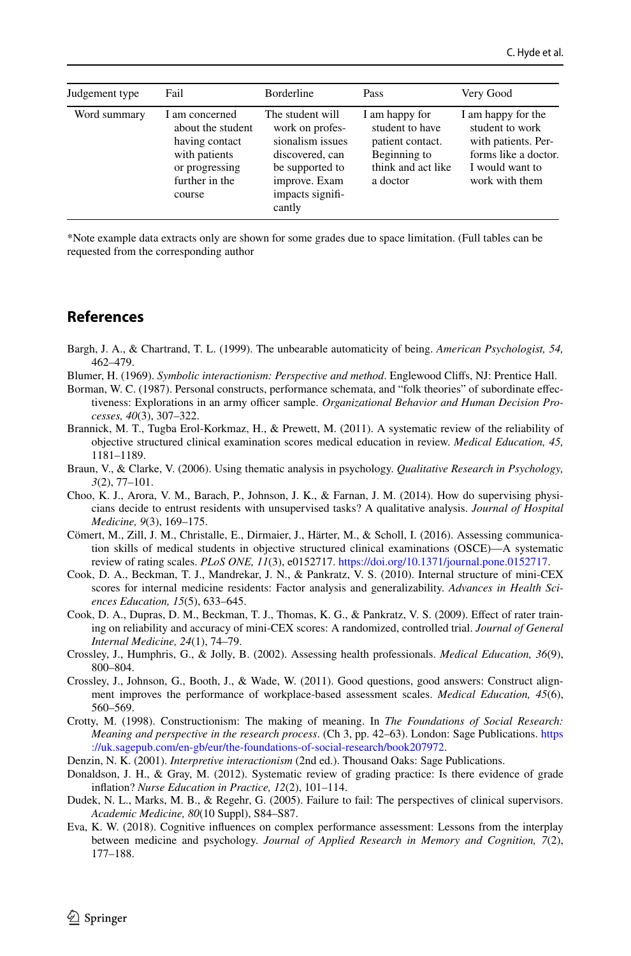| Judgement type | Fail                                                                                                                 | <b>Borderline</b>                                                                                                                            | Pass                                                                                                    | Very Good                                                                                                                 |
|----------------|----------------------------------------------------------------------------------------------------------------------|----------------------------------------------------------------------------------------------------------------------------------------------|---------------------------------------------------------------------------------------------------------|---------------------------------------------------------------------------------------------------------------------------|
| Word summary   | I am concerned<br>about the student<br>having contact<br>with patients<br>or progressing<br>further in the<br>course | The student will<br>work on profes-<br>sionalism issues<br>discovered, can<br>be supported to<br>improve. Exam<br>impacts signifi-<br>cantly | I am happy for<br>student to have<br>patient contact.<br>Beginning to<br>think and act like<br>a doctor | I am happy for the<br>student to work<br>with patients. Per-<br>forms like a doctor.<br>I would want to<br>work with them |

\*Note example data extracts only are shown for some grades due to space limitation. (Full tables can be requested from the corresponding author

## **References**

- <span id="page-27-13"></span>Bargh, J. A., & Chartrand, T. L. (1999). The unbearable automaticity of being. *American Psychologist, 54,* 462–479.
- <span id="page-27-8"></span>Blumer, H. (1969). *Symbolic interactionism: Perspective and method*. Englewood Clifs, NJ: Prentice Hall.
- <span id="page-27-7"></span>Borman, W. C. (1987). Personal constructs, performance schemata, and "folk theories" of subordinate efectiveness: Explorations in an army officer sample. *Organizational Behavior and Human Decision Processes, 40*(3), 307–322.
- <span id="page-27-1"></span>Brannick, M. T., Tugba Erol-Korkmaz, H., & Prewett, M. (2011). A systematic review of the reliability of objective structured clinical examination scores medical education in review. *Medical Education, 45,* 1181–1189.
- <span id="page-27-10"></span>Braun, V., & Clarke, V. (2006). Using thematic analysis in psychology. *Qualitative Research in Psychology, 3*(2), 77–101.
- <span id="page-27-9"></span>Choo, K. J., Arora, V. M., Barach, P., Johnson, J. K., & Farnan, J. M. (2014). How do supervising physicians decide to entrust residents with unsupervised tasks? A qualitative analysis. *Journal of Hospital Medicine, 9*(3), 169–175.
- <span id="page-27-0"></span>Cömert, M., Zill, J. M., Christalle, E., Dirmaier, J., Härter, M., & Scholl, I. (2016). Assessing communication skills of medical students in objective structured clinical examinations (OSCE)—A systematic review of rating scales. *PLoS ONE, 11*(3), e0152717. [https://doi.org/10.1371/journal.pone.0152717.](https://doi.org/10.1371/journal.pone.0152717)
- <span id="page-27-11"></span>Cook, D. A., Beckman, T. J., Mandrekar, J. N., & Pankratz, V. S. (2010). Internal structure of mini-CEX scores for internal medicine residents: Factor analysis and generalizability. *Advances in Health Sciences Education, 15*(5), 633–645.
- <span id="page-27-2"></span>Cook, D. A., Dupras, D. M., Beckman, T. J., Thomas, K. G., & Pankratz, V. S. (2009). Efect of rater training on reliability and accuracy of mini-CEX scores: A randomized, controlled trial. *Journal of General Internal Medicine, 24*(1), 74–79.
- <span id="page-27-12"></span>Crossley, J., Humphris, G., & Jolly, B. (2002). Assessing health professionals. *Medical Education, 36*(9), 800–804.
- <span id="page-27-4"></span>Crossley, J., Johnson, G., Booth, J., & Wade, W. (2011). Good questions, good answers: Construct alignment improves the performance of workplace-based assessment scales. *Medical Education, 45*(6), 560–569.
- <span id="page-27-5"></span>Crotty, M. (1998). Constructionism: The making of meaning. In *The Foundations of Social Research: Meaning and perspective in the research process*. (Ch 3, pp. 42–63). London: Sage Publications. [https](https://uk.sagepub.com/en-gb/eur/the-foundations-of-social-research/book207972) [://uk.sagepub.com/en-gb/eur/the-foundations-of-social-research/book207972](https://uk.sagepub.com/en-gb/eur/the-foundations-of-social-research/book207972).
- <span id="page-27-6"></span>Denzin, N. K. (2001). *Interpretive interactionism* (2nd ed.). Thousand Oaks: Sage Publications.
- <span id="page-27-15"></span>Donaldson, J. H., & Gray, M. (2012). Systematic review of grading practice: Is there evidence of grade infation? *Nurse Education in Practice, 12*(2), 101–114.
- <span id="page-27-14"></span>Dudek, N. L., Marks, M. B., & Regehr, G. (2005). Failure to fail: The perspectives of clinical supervisors. *Academic Medicine, 80*(10 Suppl), S84–S87.
- <span id="page-27-3"></span>Eva, K. W. (2018). Cognitive infuences on complex performance assessment: Lessons from the interplay between medicine and psychology. *Journal of Applied Research in Memory and Cognition, 7*(2), 177–188.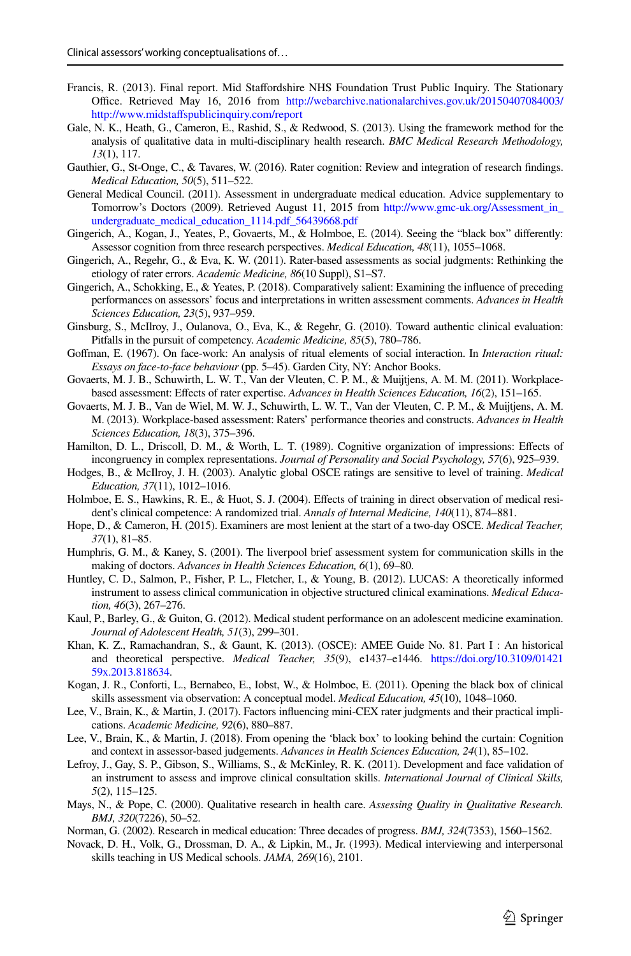- <span id="page-28-23"></span>Francis, R. (2013). Final report. Mid Stafordshire NHS Foundation Trust Public Inquiry. The Stationary Office. Retrieved May 16, 2016 from [http://webarchive.nationalarchives.gov.uk/20150407084003/](http://webarchive.nationalarchives.gov.uk/20150407084003/http://www.midstaffspublicinquiry.com/report) [http://www.midstafspublicinquiry.com/report](http://webarchive.nationalarchives.gov.uk/20150407084003/http://www.midstaffspublicinquiry.com/report)
- <span id="page-28-19"></span>Gale, N. K., Heath, G., Cameron, E., Rashid, S., & Redwood, S. (2013). Using the framework method for the analysis of qualitative data in multi-disciplinary health research. *BMC Medical Research Methodology, 13*(1), 117.
- <span id="page-28-10"></span>Gauthier, G., St-Onge, C., & Tavares, W. (2016). Rater cognition: Review and integration of research fndings. *Medical Education, 50*(5), 511–522.
- <span id="page-28-0"></span>General Medical Council. (2011). Assessment in undergraduate medical education. Advice supplementary to Tomorrow's Doctors (2009). Retrieved August 11, 2015 from http://www.gmc-uk.org/Assessment in [undergraduate\\_medical\\_education\\_1114.pdf\\_56439668.pdf](http://www.gmc-uk.org/Assessment_in_undergraduate_medical_education_1114.pdf_56439668.pdf)
- <span id="page-28-9"></span>Gingerich, A., Kogan, J., Yeates, P., Govaerts, M., & Holmboe, E. (2014). Seeing the "black box" diferently: Assessor cognition from three research perspectives. *Medical Education, 48*(11), 1055–1068.
- <span id="page-28-11"></span>Gingerich, A., Regehr, G., & Eva, K. W. (2011). Rater-based assessments as social judgments: Rethinking the etiology of rater errors. *Academic Medicine, 86*(10 Suppl), S1–S7.
- <span id="page-28-3"></span>Gingerich, A., Schokking, E., & Yeates, P. (2018). Comparatively salient: Examining the infuence of preceding performances on assessors' focus and interpretations in written assessment comments. *Advances in Health Sciences Education, 23*(5), 937–959.
- <span id="page-28-18"></span>Ginsburg, S., McIlroy, J., Oulanova, O., Eva, K., & Regehr, G. (2010). Toward authentic clinical evaluation: Pitfalls in the pursuit of competency. *Academic Medicine, 85*(5), 780–786.
- <span id="page-28-16"></span>Gofman, E. (1967). On face-work: An analysis of ritual elements of social interaction. In *Interaction ritual: Essays on face-to-face behaviour* (pp. 5–45). Garden City, NY: Anchor Books.
- <span id="page-28-7"></span>Govaerts, M. J. B., Schuwirth, L. W. T., Van der Vleuten, C. P. M., & Muijtjens, A. M. M. (2011). Workplacebased assessment: Efects of rater expertise. *Advances in Health Sciences Education, 16*(2), 151–165.
- <span id="page-28-8"></span>Govaerts, M. J. B., Van de Wiel, M. W. J., Schuwirth, L. W. T., Van der Vleuten, C. P. M., & Muijtjens, A. M. M. (2013). Workplace-based assessment: Raters' performance theories and constructs. *Advances in Health Sciences Education, 18*(3), 375–396.
- <span id="page-28-22"></span>Hamilton, D. L., Driscoll, D. M., & Worth, L. T. (1989). Cognitive organization of impressions: Efects of incongruency in complex representations. *Journal of Personality and Social Psychology, 57*(6), 925–939.
- <span id="page-28-25"></span>Hodges, B., & McIlroy, J. H. (2003). Analytic global OSCE ratings are sensitive to level of training. *Medical Education, 37*(11), 1012–1016.
- <span id="page-28-5"></span>Holmboe, E. S., Hawkins, R. E., & Huot, S. J. (2004). Efects of training in direct observation of medical resident's clinical competence: A randomized trial. *Annals of Internal Medicine, 140*(11), 874–881.
- <span id="page-28-4"></span>Hope, D., & Cameron, H. (2015). Examiners are most lenient at the start of a two-day OSCE. *Medical Teacher, 37*(1), 81–85.
- <span id="page-28-12"></span>Humphris, G. M., & Kaney, S. (2001). The liverpool brief assessment system for communication skills in the making of doctors. *Advances in Health Sciences Education, 6*(1), 69–80.
- <span id="page-28-13"></span>Huntley, C. D., Salmon, P., Fisher, P. L., Fletcher, I., & Young, B. (2012). LUCAS: A theoretically informed instrument to assess clinical communication in objective structured clinical examinations. *Medical Education, 46*(3), 267–276.
- <span id="page-28-14"></span>Kaul, P., Barley, G., & Guiton, G. (2012). Medical student performance on an adolescent medicine examination. *Journal of Adolescent Health, 51*(3), 299–301.
- <span id="page-28-17"></span>Khan, K. Z., Ramachandran, S., & Gaunt, K. (2013). (OSCE): AMEE Guide No. 81. Part I : An historical and theoretical perspective. *Medical Teacher, 35*(9), e1437–e1446. [https://doi.org/10.3109/01421](https://doi.org/10.3109/0142159x.2013.818634) [59x.2013.818634](https://doi.org/10.3109/0142159x.2013.818634).
- <span id="page-28-21"></span>Kogan, J. R., Conforti, L., Bernabeo, E., Iobst, W., & Holmboe, E. (2011). Opening the black box of clinical skills assessment via observation: A conceptual model. *Medical Education, 45*(10), 1048–1060.
- <span id="page-28-6"></span>Lee, V., Brain, K., & Martin, J. (2017). Factors infuencing mini-CEX rater judgments and their practical implications. *Academic Medicine, 92*(6), 880–887.
- <span id="page-28-20"></span>Lee, V., Brain, K., & Martin, J. (2018). From opening the 'black box' to looking behind the curtain: Cognition and context in assessor-based judgements. *Advances in Health Sciences Education, 24*(1), 85–102.
- <span id="page-28-15"></span>Lefroy, J., Gay, S. P., Gibson, S., Williams, S., & McKinley, R. K. (2011). Development and face validation of an instrument to assess and improve clinical consultation skills. *International Journal of Clinical Skills, 5*(2), 115–125.
- <span id="page-28-24"></span>Mays, N., & Pope, C. (2000). Qualitative research in health care. *Assessing Quality in Qualitative Research. BMJ, 320*(7226), 50–52.
- <span id="page-28-2"></span>Norman, G. (2002). Research in medical education: Three decades of progress. *BMJ, 324*(7353), 1560–1562.
- <span id="page-28-1"></span>Novack, D. H., Volk, G., Drossman, D. A., & Lipkin, M., Jr. (1993). Medical interviewing and interpersonal skills teaching in US Medical schools. *JAMA, 269*(16), 2101.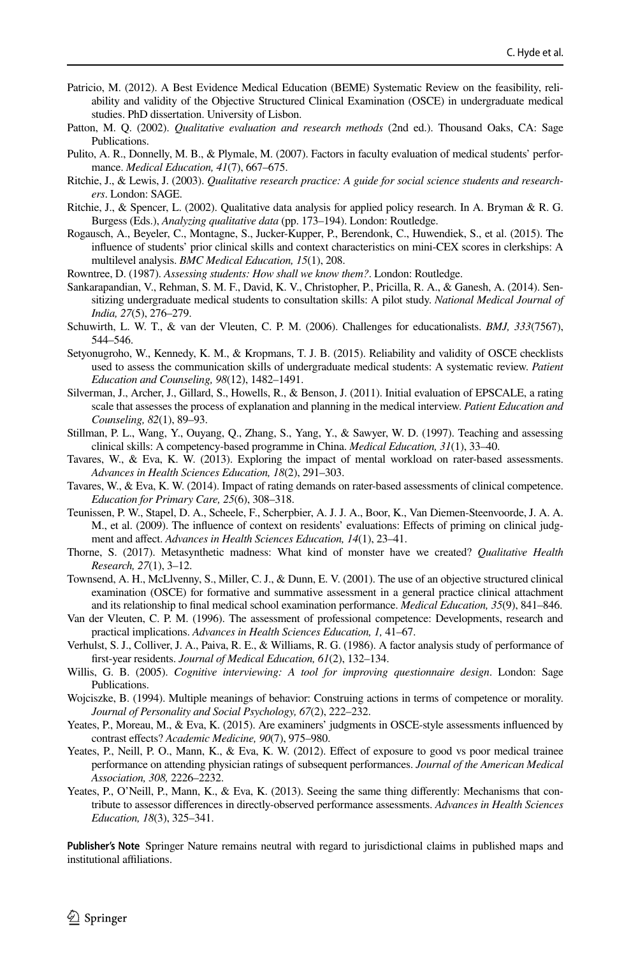- <span id="page-29-4"></span>Patricio, M. (2012). A Best Evidence Medical Education (BEME) Systematic Review on the feasibility, reliability and validity of the Objective Structured Clinical Examination (OSCE) in undergraduate medical studies. PhD dissertation. University of Lisbon.
- <span id="page-29-12"></span>Patton, M. Q. (2002). *Qualitative evaluation and research methods* (2nd ed.). Thousand Oaks, CA: Sage Publications.
- <span id="page-29-17"></span>Pulito, A. R., Donnelly, M. B., & Plymale, M. (2007). Factors in faculty evaluation of medical students' performance. *Medical Education, 41*(7), 667–675.
- <span id="page-29-14"></span>Ritchie, J., & Lewis, J. (2003). *Qualitative research practice: A guide for social science students and researchers*. London: SAGE.
- <span id="page-29-15"></span>Ritchie, J., & Spencer, L. (2002). Qualitative data analysis for applied policy research. In A. Bryman & R. G. Burgess (Eds.), *Analyzing qualitative data* (pp. 173–194). London: Routledge.
- <span id="page-29-8"></span>Rogausch, A., Beyeler, C., Montagne, S., Jucker-Kupper, P., Berendonk, C., Huwendiek, S., et al. (2015). The infuence of students' prior clinical skills and context characteristics on mini-CEX scores in clerkships: A multilevel analysis. *BMC Medical Education, 15*(1), 208.
- <span id="page-29-18"></span>Rowntree, D. (1987). *Assessing students: How shall we know them?*. London: Routledge.
- <span id="page-29-0"></span>Sankarapandian, V., Rehman, S. M. F., David, K. V., Christopher, P., Pricilla, R. A., & Ganesh, A. (2014). Sensitizing undergraduate medical students to consultation skills: A pilot study. *National Medical Journal of India, 27*(5), 276–279.
- <span id="page-29-3"></span>Schuwirth, L. W. T., & van der Vleuten, C. P. M. (2006). Challenges for educationalists. *BMJ, 333*(7567), 544–546.
- <span id="page-29-10"></span>Setyonugroho, W., Kennedy, K. M., & Kropmans, T. J. B. (2015). Reliability and validity of OSCE checklists used to assess the communication skills of undergraduate medical students: A systematic review. *Patient Education and Counseling, 98*(12), 1482–1491.
- <span id="page-29-11"></span>Silverman, J., Archer, J., Gillard, S., Howells, R., & Benson, J. (2011). Initial evaluation of EPSCALE, a rating scale that assesses the process of explanation and planning in the medical interview. *Patient Education and Counseling, 82*(1), 89–93.
- <span id="page-29-1"></span>Stillman, P. L., Wang, Y., Ouyang, Q., Zhang, S., Yang, Y., & Sawyer, W. D. (1997). Teaching and assessing clinical skills: A competency-based programme in China. *Medical Education, 31*(1), 33–40.
- <span id="page-29-22"></span>Tavares, W., & Eva, K. W. (2013). Exploring the impact of mental workload on rater-based assessments. *Advances in Health Sciences Education, 18*(2), 291–303.
- <span id="page-29-23"></span>Tavares, W., & Eva, K. W. (2014). Impact of rating demands on rater-based assessments of clinical competence. *Education for Primary Care, 25*(6), 308–318.
- <span id="page-29-20"></span>Teunissen, P. W., Stapel, D. A., Scheele, F., Scherpbier, A. J. J. A., Boor, K., Van Diemen-Steenvoorde, J. A. A. M., et al. (2009). The infuence of context on residents' evaluations: Efects of priming on clinical judgment and afect. *Advances in Health Sciences Education, 14*(1), 23–41.
- <span id="page-29-21"></span>Thorne, S. (2017). Metasynthetic madness: What kind of monster have we created? *Qualitative Health Research, 27*(1), 3–12.
- <span id="page-29-2"></span>Townsend, A. H., McLlvenny, S., Miller, C. J., & Dunn, E. V. (2001). The use of an objective structured clinical examination (OSCE) for formative and summative assessment in a general practice clinical attachment and its relationship to fnal medical school examination performance. *Medical Education, 35*(9), 841–846.
- <span id="page-29-5"></span>Van der Vleuten, C. P. M. (1996). The assessment of professional competence: Developments, research and practical implications. *Advances in Health Sciences Education, 1,* 41–67.
- <span id="page-29-16"></span>Verhulst, S. J., Colliver, J. A., Paiva, R. E., & Williams, R. G. (1986). A factor analysis study of performance of frst-year residents. *Journal of Medical Education, 61*(2), 132–134.
- <span id="page-29-13"></span>Willis, G. B. (2005). *Cognitive interviewing: A tool for improving questionnaire design*. London: Sage Publications.
- <span id="page-29-19"></span>Wojciszke, B. (1994). Multiple meanings of behavior: Construing actions in terms of competence or morality. *Journal of Personality and Social Psychology, 67*(2), 222–232.
- <span id="page-29-7"></span>Yeates, P., Moreau, M., & Eva, K. (2015). Are examiners' judgments in OSCE-style assessments influenced by contrast efects? *Academic Medicine, 90*(7), 975–980.
- <span id="page-29-6"></span>Yeates, P., Neill, P. O., Mann, K., & Eva, K. W. (2012). Effect of exposure to good vs poor medical trainee performance on attending physician ratings of subsequent performances. *Journal of the American Medical Association, 308,* 2226–2232.
- <span id="page-29-9"></span>Yeates, P., O'Neill, P., Mann, K., & Eva, K. (2013). Seeing the same thing differently: Mechanisms that contribute to assessor diferences in directly-observed performance assessments. *Advances in Health Sciences Education, 18*(3), 325–341.

**Publisher's Note** Springer Nature remains neutral with regard to jurisdictional claims in published maps and institutional affiliations.